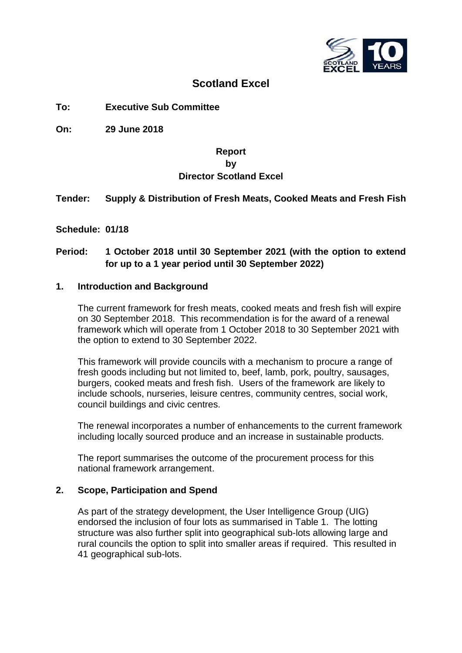

# **Scotland Excel**

**To: Executive Sub Committee**

**On: 29 June 2018**

## **Report by Director Scotland Excel**

## **Tender: Supply & Distribution of Fresh Meats, Cooked Meats and Fresh Fish**

**Schedule: 01/18**

# **Period: 1 October 2018 until 30 September 2021 (with the option to extend for up to a 1 year period until 30 September 2022)**

## **1. Introduction and Background**

The current framework for fresh meats, cooked meats and fresh fish will expire on 30 September 2018. This recommendation is for the award of a renewal framework which will operate from 1 October 2018 to 30 September 2021 with the option to extend to 30 September 2022.

This framework will provide councils with a mechanism to procure a range of fresh goods including but not limited to, beef, lamb, pork, poultry, sausages, burgers, cooked meats and fresh fish. Users of the framework are likely to include schools, nurseries, leisure centres, community centres, social work, council buildings and civic centres.

The renewal incorporates a number of enhancements to the current framework including locally sourced produce and an increase in sustainable products.

The report summarises the outcome of the procurement process for this national framework arrangement.

## **2. Scope, Participation and Spend**

As part of the strategy development, the User Intelligence Group (UIG) endorsed the inclusion of four lots as summarised in Table 1. The lotting structure was also further split into geographical sub-lots allowing large and rural councils the option to split into smaller areas if required. This resulted in 41 geographical sub-lots.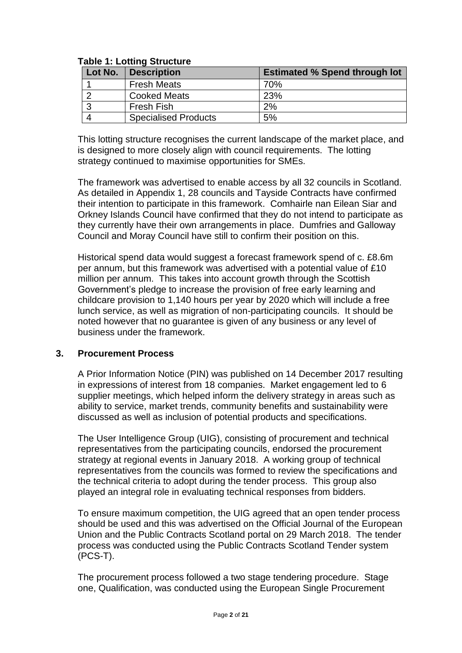| Lot No. | <b>Description</b>          | <b>Estimated % Spend through lot</b> |
|---------|-----------------------------|--------------------------------------|
|         | <b>Fresh Meats</b>          | 70%                                  |
|         | <b>Cooked Meats</b>         | 23%                                  |
|         | <b>Fresh Fish</b>           | 2%                                   |
|         | <b>Specialised Products</b> | 5%                                   |

## **Table 1: Lotting Structure**

This lotting structure recognises the current landscape of the market place, and is designed to more closely align with council requirements. The lotting strategy continued to maximise opportunities for SMEs.

The framework was advertised to enable access by all 32 councils in Scotland. As detailed in Appendix 1, 28 councils and Tayside Contracts have confirmed their intention to participate in this framework. Comhairle nan Eilean Siar and Orkney Islands Council have confirmed that they do not intend to participate as they currently have their own arrangements in place. Dumfries and Galloway Council and Moray Council have still to confirm their position on this.

Historical spend data would suggest a forecast framework spend of c. £8.6m per annum, but this framework was advertised with a potential value of £10 million per annum. This takes into account growth through the Scottish Government's pledge to increase the provision of free early learning and childcare provision to 1,140 hours per year by 2020 which will include a free lunch service, as well as migration of non-participating councils. It should be noted however that no guarantee is given of any business or any level of business under the framework.

## **3. Procurement Process**

A Prior Information Notice (PIN) was published on 14 December 2017 resulting in expressions of interest from 18 companies. Market engagement led to 6 supplier meetings, which helped inform the delivery strategy in areas such as ability to service, market trends, community benefits and sustainability were discussed as well as inclusion of potential products and specifications.

The User Intelligence Group (UIG), consisting of procurement and technical representatives from the participating councils, endorsed the procurement strategy at regional events in January 2018. A working group of technical representatives from the councils was formed to review the specifications and the technical criteria to adopt during the tender process. This group also played an integral role in evaluating technical responses from bidders.

To ensure maximum competition, the UIG agreed that an open tender process should be used and this was advertised on the Official Journal of the European Union and the Public Contracts Scotland portal on 29 March 2018. The tender process was conducted using the Public Contracts Scotland Tender system (PCS-T).

The procurement process followed a two stage tendering procedure. Stage one, Qualification, was conducted using the European Single Procurement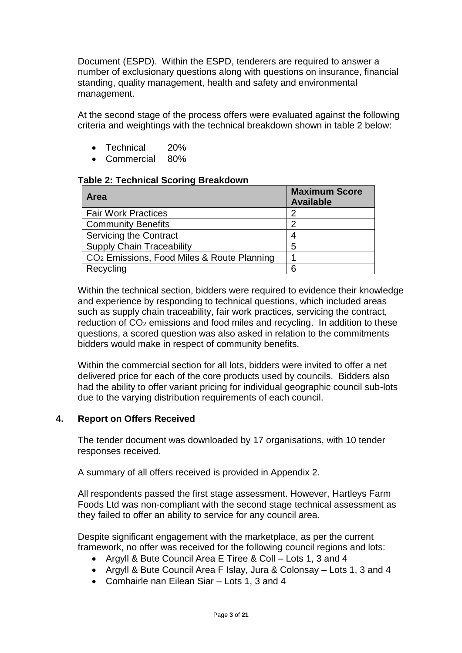Document (ESPD). Within the ESPD, tenderers are required to answer a number of exclusionary questions along with questions on insurance, financial standing, quality management, health and safety and environmental management.

At the second stage of the process offers were evaluated against the following criteria and weightings with the technical breakdown shown in table 2 below:

- Technical 20%
- Commercial 80%

#### **Table 2: Technical Scoring Breakdown**

| <b>Area</b>                                            | <b>Maximum Score</b><br><b>Available</b> |
|--------------------------------------------------------|------------------------------------------|
| <b>Fair Work Practices</b>                             | 2                                        |
| <b>Community Benefits</b>                              | っ                                        |
| <b>Servicing the Contract</b>                          |                                          |
| <b>Supply Chain Traceability</b>                       | 5                                        |
| CO <sub>2</sub> Emissions, Food Miles & Route Planning |                                          |
| Recycling                                              | 6                                        |

Within the technical section, bidders were required to evidence their knowledge and experience by responding to technical questions, which included areas such as supply chain traceability, fair work practices, servicing the contract, reduction of CO<sub>2</sub> emissions and food miles and recycling. In addition to these questions, a scored question was also asked in relation to the commitments bidders would make in respect of community benefits.

Within the commercial section for all lots, bidders were invited to offer a net delivered price for each of the core products used by councils. Bidders also had the ability to offer variant pricing for individual geographic council sub-lots due to the varying distribution requirements of each council.

## **4. Report on Offers Received**

The tender document was downloaded by 17 organisations, with 10 tender responses received.

A summary of all offers received is provided in Appendix 2.

All respondents passed the first stage assessment. However, Hartleys Farm Foods Ltd was non-compliant with the second stage technical assessment as they failed to offer an ability to service for any council area.

Despite significant engagement with the marketplace, as per the current framework, no offer was received for the following council regions and lots:

- Argyll & Bute Council Area E Tiree & Coll Lots 1, 3 and 4
- Argyll & Bute Council Area F Islay, Jura & Colonsay Lots 1, 3 and 4
- Comhairle nan Eilean Siar Lots 1, 3 and 4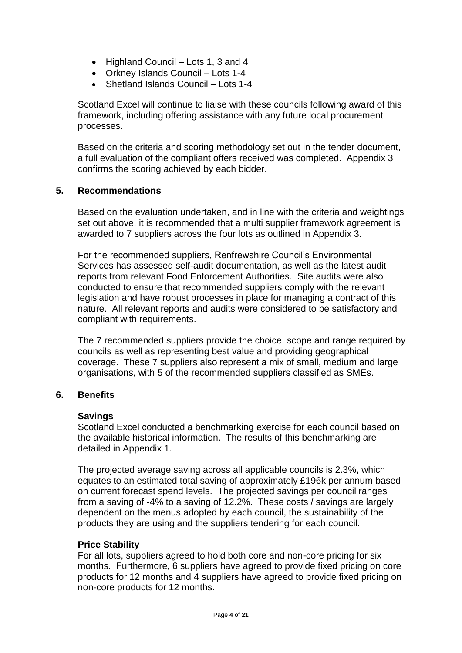- Highland Council Lots 1, 3 and 4
- Orkney Islands Council Lots 1-4
- Shetland Islands Council Lots 1-4

Scotland Excel will continue to liaise with these councils following award of this framework, including offering assistance with any future local procurement processes.

Based on the criteria and scoring methodology set out in the tender document, a full evaluation of the compliant offers received was completed. Appendix 3 confirms the scoring achieved by each bidder.

## **5. Recommendations**

Based on the evaluation undertaken, and in line with the criteria and weightings set out above, it is recommended that a multi supplier framework agreement is awarded to 7 suppliers across the four lots as outlined in Appendix 3.

For the recommended suppliers, Renfrewshire Council's Environmental Services has assessed self-audit documentation, as well as the latest audit reports from relevant Food Enforcement Authorities. Site audits were also conducted to ensure that recommended suppliers comply with the relevant legislation and have robust processes in place for managing a contract of this nature. All relevant reports and audits were considered to be satisfactory and compliant with requirements.

The 7 recommended suppliers provide the choice, scope and range required by councils as well as representing best value and providing geographical coverage. These 7 suppliers also represent a mix of small, medium and large organisations, with 5 of the recommended suppliers classified as SMEs.

## **6. Benefits**

#### **Savings**

Scotland Excel conducted a benchmarking exercise for each council based on the available historical information. The results of this benchmarking are detailed in Appendix 1.

The projected average saving across all applicable councils is 2.3%, which equates to an estimated total saving of approximately £196k per annum based on current forecast spend levels. The projected savings per council ranges from a saving of -4% to a saving of 12.2%. These costs / savings are largely dependent on the menus adopted by each council, the sustainability of the products they are using and the suppliers tendering for each council.

#### **Price Stability**

For all lots, suppliers agreed to hold both core and non-core pricing for six months. Furthermore, 6 suppliers have agreed to provide fixed pricing on core products for 12 months and 4 suppliers have agreed to provide fixed pricing on non-core products for 12 months.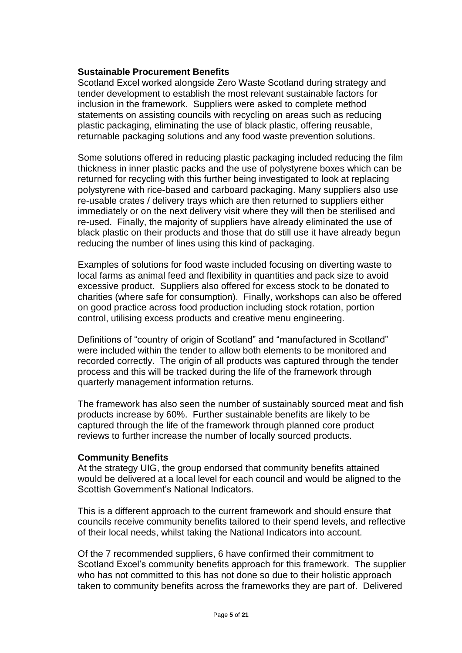## **Sustainable Procurement Benefits**

Scotland Excel worked alongside Zero Waste Scotland during strategy and tender development to establish the most relevant sustainable factors for inclusion in the framework. Suppliers were asked to complete method statements on assisting councils with recycling on areas such as reducing plastic packaging, eliminating the use of black plastic, offering reusable, returnable packaging solutions and any food waste prevention solutions.

Some solutions offered in reducing plastic packaging included reducing the film thickness in inner plastic packs and the use of polystyrene boxes which can be returned for recycling with this further being investigated to look at replacing polystyrene with rice-based and carboard packaging. Many suppliers also use re-usable crates / delivery trays which are then returned to suppliers either immediately or on the next delivery visit where they will then be sterilised and re-used. Finally, the majority of suppliers have already eliminated the use of black plastic on their products and those that do still use it have already begun reducing the number of lines using this kind of packaging.

Examples of solutions for food waste included focusing on diverting waste to local farms as animal feed and flexibility in quantities and pack size to avoid excessive product. Suppliers also offered for excess stock to be donated to charities (where safe for consumption). Finally, workshops can also be offered on good practice across food production including stock rotation, portion control, utilising excess products and creative menu engineering.

Definitions of "country of origin of Scotland" and "manufactured in Scotland" were included within the tender to allow both elements to be monitored and recorded correctly. The origin of all products was captured through the tender process and this will be tracked during the life of the framework through quarterly management information returns.

The framework has also seen the number of sustainably sourced meat and fish products increase by 60%. Further sustainable benefits are likely to be captured through the life of the framework through planned core product reviews to further increase the number of locally sourced products.

#### **Community Benefits**

At the strategy UIG, the group endorsed that community benefits attained would be delivered at a local level for each council and would be aligned to the Scottish Government's National Indicators.

This is a different approach to the current framework and should ensure that councils receive community benefits tailored to their spend levels, and reflective of their local needs, whilst taking the National Indicators into account.

Of the 7 recommended suppliers, 6 have confirmed their commitment to Scotland Excel's community benefits approach for this framework. The supplier who has not committed to this has not done so due to their holistic approach taken to community benefits across the frameworks they are part of. Delivered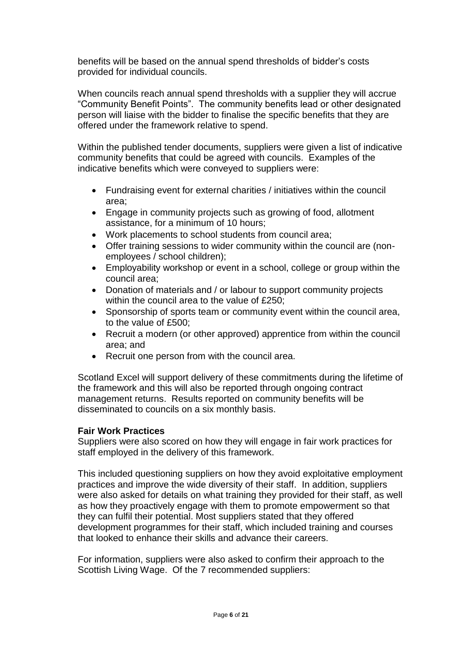benefits will be based on the annual spend thresholds of bidder's costs provided for individual councils.

When councils reach annual spend thresholds with a supplier they will accrue "Community Benefit Points". The community benefits lead or other designated person will liaise with the bidder to finalise the specific benefits that they are offered under the framework relative to spend.

Within the published tender documents, suppliers were given a list of indicative community benefits that could be agreed with councils. Examples of the indicative benefits which were conveyed to suppliers were:

- Fundraising event for external charities / initiatives within the council area;
- Engage in community projects such as growing of food, allotment assistance, for a minimum of 10 hours;
- Work placements to school students from council area;
- Offer training sessions to wider community within the council are (nonemployees / school children);
- Employability workshop or event in a school, college or group within the council area;
- Donation of materials and / or labour to support community projects within the council area to the value of £250;
- Sponsorship of sports team or community event within the council area, to the value of £500;
- Recruit a modern (or other approved) apprentice from within the council area; and
- Recruit one person from with the council area.

Scotland Excel will support delivery of these commitments during the lifetime of the framework and this will also be reported through ongoing contract management returns. Results reported on community benefits will be disseminated to councils on a six monthly basis.

## **Fair Work Practices**

Suppliers were also scored on how they will engage in fair work practices for staff employed in the delivery of this framework.

This included questioning suppliers on how they avoid exploitative employment practices and improve the wide diversity of their staff. In addition, suppliers were also asked for details on what training they provided for their staff, as well as how they proactively engage with them to promote empowerment so that they can fulfil their potential. Most suppliers stated that they offered development programmes for their staff, which included training and courses that looked to enhance their skills and advance their careers.

For information, suppliers were also asked to confirm their approach to the Scottish Living Wage. Of the 7 recommended suppliers: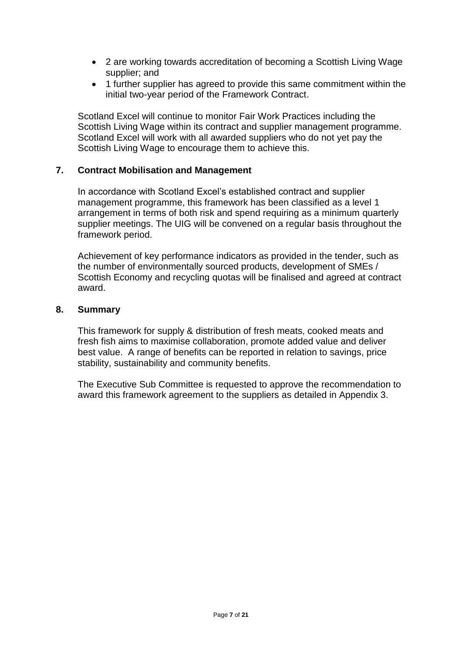- 2 are working towards accreditation of becoming a Scottish Living Wage supplier; and
- 1 further supplier has agreed to provide this same commitment within the initial two-year period of the Framework Contract.

Scotland Excel will continue to monitor Fair Work Practices including the Scottish Living Wage within its contract and supplier management programme. Scotland Excel will work with all awarded suppliers who do not yet pay the Scottish Living Wage to encourage them to achieve this.

## **7. Contract Mobilisation and Management**

In accordance with Scotland Excel's established contract and supplier management programme, this framework has been classified as a level 1 arrangement in terms of both risk and spend requiring as a minimum quarterly supplier meetings. The UIG will be convened on a regular basis throughout the framework period.

Achievement of key performance indicators as provided in the tender, such as the number of environmentally sourced products, development of SMEs / Scottish Economy and recycling quotas will be finalised and agreed at contract award.

#### **8. Summary**

This framework for supply & distribution of fresh meats, cooked meats and fresh fish aims to maximise collaboration, promote added value and deliver best value. A range of benefits can be reported in relation to savings, price stability, sustainability and community benefits.

The Executive Sub Committee is requested to approve the recommendation to award this framework agreement to the suppliers as detailed in Appendix 3.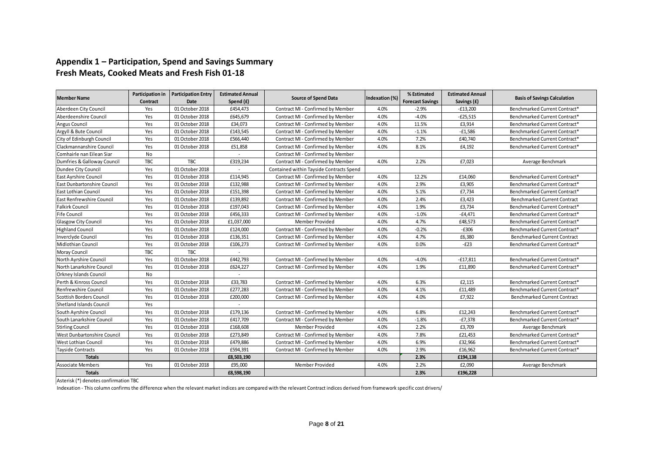## **Appendix 1 – Participation, Spend and Savings Summary Fresh Meats, Cooked Meats and Fresh Fish 01-18**

|                                  | Participation in | <b>Participation Entry</b> | <b>Estimated Annual</b>  |                                          |                | % Estimated             | <b>Estimated Annual</b> |                                     |
|----------------------------------|------------------|----------------------------|--------------------------|------------------------------------------|----------------|-------------------------|-------------------------|-------------------------------------|
| <b>Member Name</b>               | Contract         | Date                       | Spend (£)                | <b>Source of Spend Data</b>              | Indexation (%) | <b>Forecast Savings</b> | Savings (£)             | <b>Basis of Savings Calculation</b> |
| Aberdeen City Council            | Yes              | 01 October 2018            | £454,473                 | Contract MI - Confirmed by Member        | 4.0%           | $-2.9%$                 | $-£13,200$              | Benchmarked Current Contract*       |
| Aberdeenshire Council            | Yes              | 01 October 2018            | £645,679                 | Contract MI - Confirmed by Member        | 4.0%           | $-4.0%$                 | $-E25,515$              | Benchmarked Current Contract*       |
| <b>Angus Council</b>             | Yes              | 01 October 2018            | £34,073                  | Contract MI - Confirmed by Member        | 4.0%           | 11.5%                   | £3,914                  | Benchmarked Current Contract*       |
| Argyll & Bute Council            | Yes              | 01 October 2018            | £143,545                 | Contract MI - Confirmed by Member        | 4.0%           | $-1.1%$                 | $-£1,586$               | Benchmarked Current Contract*       |
| City of Edinburgh Council        | Yes              | 01 October 2018            | £566,440                 | Contract MI - Confirmed by Member        | 4.0%           | 7.2%                    | £40,740                 | Benchmarked Current Contract*       |
| Clackmannanshire Council         | Yes              | 01 October 2018            | £51,858                  | Contract MI - Confirmed by Member        | 4.0%           | 8.1%                    | £4,192                  | Benchmarked Current Contract*       |
| Comhairle nan Eilean Siar        | No               |                            |                          | Contract MI - Confirmed by Member        |                |                         |                         |                                     |
| Dumfries & Galloway Council      | TBC              | <b>TBC</b>                 | £319,234                 | Contract MI - Confirmed by Member        | 4.0%           | 2.2%                    | £7,023                  | Average Benchmark                   |
| Dundee City Council              | Yes              | 01 October 2018            |                          | Contained within Tayside Contracts Spend |                |                         |                         |                                     |
| <b>East Ayrshire Council</b>     | Yes              | 01 October 2018            | £114,945                 | Contract MI - Confirmed by Member        | 4.0%           | 12.2%                   | £14,060                 | Benchmarked Current Contract*       |
| East Dunbartonshire Council      | Yes              | 01 October 2018            | £132,988                 | Contract MI - Confirmed by Member        | 4.0%           | 2.9%                    | £3,905                  | Benchmarked Current Contract*       |
| <b>East Lothian Council</b>      | Yes              | 01 October 2018            | £151,398                 | Contract MI - Confirmed by Member        | 4.0%           | 5.1%                    | £7,734                  | Benchmarked Current Contract*       |
| <b>East Renfrewshire Council</b> | Yes              | 01 October 2018            | £139,892                 | Contract MI - Confirmed by Member        | 4.0%           | 2.4%                    | £3,423                  | <b>Benchmarked Current Contract</b> |
| <b>Falkirk Council</b>           | Yes              | 01 October 2018            | £197,043                 | Contract MI - Confirmed by Member        | 4.0%           | 1.9%                    | £3,734                  | Benchmarked Current Contract*       |
| <b>Fife Council</b>              | Yes              | 01 October 2018            | £456,333                 | Contract MI - Confirmed by Member        | 4.0%           | $-1.0%$                 | $-£4,471$               | Benchmarked Current Contract*       |
| Glasgow City Council             | Yes              | 01 October 2018            | £1,037,000               | Member Provided                          | 4.0%           | 4.7%                    | £48,573                 | Benchmarked Current Contract*       |
| <b>Highland Council</b>          | Yes              | 01 October 2018            | £124,000                 | Contract MI - Confirmed by Member        | 4.0%           | $-0.2%$                 | $-E306$                 | Benchmarked Current Contract*       |
| Inverclyde Council               | Yes              | 01 October 2018            | £136,351                 | Contract MI - Confirmed by Member        | 4.0%           | 4.7%                    | £6,380                  | <b>Benchmarked Current Contract</b> |
| Midlothian Council               | Yes              | 01 October 2018            | £106,273                 | Contract MI - Confirmed by Member        | 4.0%           | 0.0%                    | $-E23$                  | Benchmarked Current Contract*       |
| Moray Council                    | TBC              | <b>TBC</b>                 | $\overline{\phantom{a}}$ |                                          |                |                         |                         |                                     |
| North Ayrshire Council           | Yes              | 01 October 2018            | £442,793                 | Contract MI - Confirmed by Member        | 4.0%           | $-4.0%$                 | $-£17.811$              | Benchmarked Current Contract*       |
| North Lanarkshire Council        | Yes              | 01 October 2018            | £624,227                 | Contract MI - Confirmed by Member        | 4.0%           | 1.9%                    | £11,890                 | Benchmarked Current Contract*       |
| <b>Orkney Islands Council</b>    | No               |                            | $\sim$                   |                                          |                |                         |                         |                                     |
| Perth & Kinross Council          | Yes              | 01 October 2018            | £33,783                  | Contract MI - Confirmed by Member        | 4.0%           | 6.3%                    | £2,115                  | Benchmarked Current Contract*       |
| Renfrewshire Council             | Yes              | 01 October 2018            | £277,283                 | Contract MI - Confirmed by Member        | 4.0%           | 4.1%                    | £11,489                 | Benchmarked Current Contract*       |
| <b>Scottish Borders Council</b>  | Yes              | 01 October 2018            | £200,000                 | Contract MI - Confirmed by Member        | 4.0%           | 4.0%                    | £7,922                  | <b>Benchmarked Current Contract</b> |
| <b>Shetland Islands Council</b>  | Yes              |                            |                          |                                          |                |                         |                         |                                     |
| South Ayrshire Council           | Yes              | 01 October 2018            | £179,136                 | Contract MI - Confirmed by Member        | 4.0%           | 6.8%                    | £12,243                 | Benchmarked Current Contract*       |
| South Lanarkshire Council        | Yes              | 01 October 2018            | £417,709                 | Contract MI - Confirmed by Member        | 4.0%           | $-1.8%$                 | $-E7,378$               | Benchmarked Current Contract*       |
| <b>Stirling Council</b>          | Yes              | 01 October 2018            | £168,608                 | Member Provided                          | 4.0%           | 2.2%                    | £3,709                  | Average Benchmark                   |
| West Dunbartonshire Council      | Yes              | 01 October 2018            | £273,849                 | Contract MI - Confirmed by Member        | 4.0%           | 7.8%                    | £21,453                 | Benchmarked Current Contract*       |
| <b>West Lothian Council</b>      | Yes              | 01 October 2018            | £479,886                 | Contract MI - Confirmed by Member        | 4.0%           | 6.9%                    | £32,966                 | Benchmarked Current Contract*       |
| <b>Tayside Contracts</b>         | Yes              | 01 October 2018            | £594,391                 | Contract MI - Confirmed by Member        | 4.0%           | 2.9%                    | £16,962                 | Benchmarked Current Contract*       |
| <b>Totals</b>                    |                  |                            | £8,503,190               |                                          |                | 2.3%                    | £194,138                |                                     |
| <b>Associate Members</b>         | Yes              | 01 October 2018            | £95,000                  | Member Provided                          | 4.0%           | 2.2%                    | £2.090                  | Average Benchmark                   |
| <b>Totals</b>                    |                  |                            | £8,598,190               |                                          |                | 2.3%                    | £196,228                |                                     |

Asterisk (\*) denotes confirmation TBC

Indexation - This column confirms the difference when the relevant market indices are compared with the relevant Contract indices derived from framework specific cost drivers/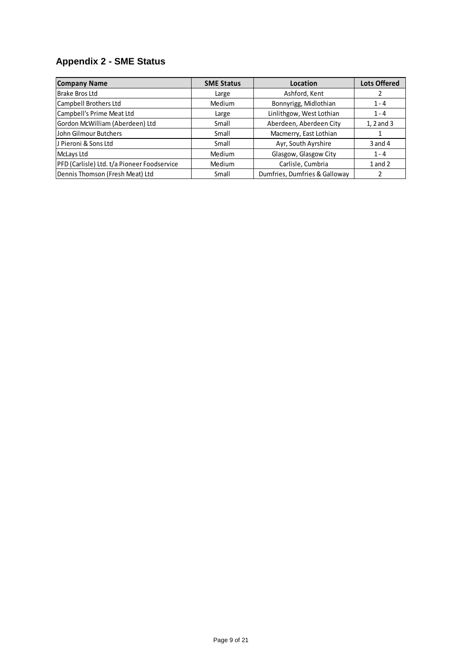# **Appendix 2 - SME Status**

| <b>Company Name</b>                         | <b>SME Status</b> | Location                      | <b>Lots Offered</b> |
|---------------------------------------------|-------------------|-------------------------------|---------------------|
| <b>Brake Bros Ltd</b>                       | Large             | Ashford, Kent                 |                     |
| Campbell Brothers Ltd                       | Medium            | Bonnyrigg, Midlothian         | $1 - 4$             |
| Campbell's Prime Meat Ltd                   | Large             | Linlithgow, West Lothian      | $1 - 4$             |
| Gordon McWilliam (Aberdeen) Ltd             | Small             | Aberdeen, Aberdeen City       | 1, 2 and 3          |
| John Gilmour Butchers                       | Small             | Macmerry, East Lothian        |                     |
| IJ Pieroni & Sons Ltd                       | Small             | Ayr, South Ayrshire           | $3$ and $4$         |
| McLays Ltd                                  | Medium            | Glasgow, Glasgow City         | $1 - 4$             |
| PFD (Carlisle) Ltd. t/a Pioneer Foodservice | Medium            | Carlisle, Cumbria             | 1 and 2             |
| Dennis Thomson (Fresh Meat) Ltd             | Small             | Dumfries, Dumfries & Galloway |                     |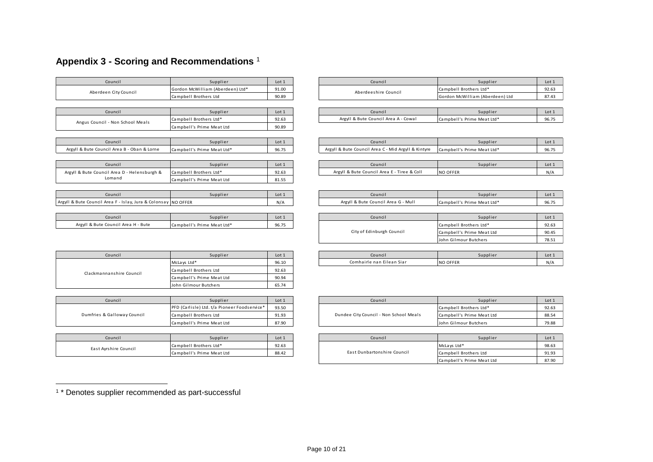# **Appendix 3 - Scoring and Recommendations** <sup>1</sup>

| Council                                                        | Supplier                                     | Lot 1 | Council                                             | Supplier                        | Lot 1 |
|----------------------------------------------------------------|----------------------------------------------|-------|-----------------------------------------------------|---------------------------------|-------|
| Aberdeen City Council                                          | Gordon McWilliam (Aberdeen) Ltd*             | 91.00 | Aberdeeshire Council                                | Campbell Brothers Ltd*          | 92.63 |
|                                                                | Campbell Brothers Ltd                        | 90.89 |                                                     | Gordon McWilliam (Aberdeen) Ltd | 87.43 |
|                                                                |                                              |       |                                                     |                                 |       |
| Council                                                        | Supplier                                     | Lot 1 | Council                                             | Supplier                        | Lot 1 |
| Angus Council - Non School Meals                               | Campbell Brothers Ltd*                       | 92.63 | Argyll & Bute Council Area A - Cowal                | Campbell's Prime Meat Ltd*      | 96.75 |
|                                                                | Campbell's Prime Meat Ltd                    | 90.89 |                                                     |                                 |       |
|                                                                |                                              |       |                                                     |                                 |       |
| Council                                                        | Supplier                                     | Lot 1 | Council                                             | Supplier                        | Lot 1 |
| Argyll & Bute Council Area B - Oban & Lorne                    | Campbell's Prime Meat Ltd*                   | 96.75 | Argyll & Bute Council Area C - Mid Argyll & Kintyre | Campbell's Prime Meat Ltd*      | 96.75 |
|                                                                |                                              |       |                                                     |                                 |       |
| Council                                                        | Supplier                                     | Lot 1 | Council                                             | Supplier                        | Lot 1 |
| Argyll & Bute Council Area D - Helensburgh &                   | Campbell Brothers Ltd*                       | 92.63 | Argyll & Bute Council Area E - Tiree & Coll         | <b>NO OFFER</b>                 | N/A   |
| Lomand                                                         | Campbell's Prime Meat Ltd                    | 81.55 |                                                     |                                 |       |
|                                                                |                                              |       |                                                     |                                 |       |
| Council                                                        | Supplier                                     | Lot 1 | Council                                             | Supplier                        | Lot 1 |
| Argyll & Bute Council Area F - Islay, Jura & Colonsay NO OFFER |                                              | N/A   | Argyll & Bute Council Area G - Mull                 | Campbell's Prime Meat Ltd*      | 96.75 |
|                                                                |                                              |       |                                                     |                                 |       |
| Council                                                        | Supplier                                     | Lot 1 | Council                                             | Supplier                        | Lot 1 |
| Argyll & Bute Council Area H - Bute                            | Campbell's Prime Meat Ltd*                   | 96.75 |                                                     | Campbell Brothers Ltd*          | 92.63 |
|                                                                |                                              |       | City of Edinburgh Council                           | Campbell's Prime Meat Ltd       | 90.45 |
|                                                                |                                              |       |                                                     | John Gilmour Butchers           | 78.51 |
|                                                                |                                              |       |                                                     |                                 |       |
| Council                                                        | Supplier                                     | Lot 1 | Council                                             | Supplier                        | Lot 1 |
|                                                                | McLays Ltd*                                  | 96.10 | Comhairle nan Eilean Siar                           | <b>NO OFFER</b>                 | N/A   |
| Clackmannanshire Council                                       | Campbell Brothers Ltd                        | 92.63 |                                                     |                                 |       |
|                                                                | Campbell's Prime Meat Ltd                    | 90.94 |                                                     |                                 |       |
|                                                                | John Gilmour Butchers                        | 65.74 |                                                     |                                 |       |
|                                                                |                                              |       |                                                     |                                 |       |
| Council                                                        | Supplier                                     | Lot 1 | Council                                             | Supplier                        | Lot 1 |
|                                                                | PFD (Carlisle) Ltd. t/a Pioneer Foodservice* | 93.50 |                                                     | Campbell Brothers Ltd*          | 92.63 |
| Dumfries & Galloway Council                                    | Campbell Brothers Ltd                        | 91.93 | Dundee City Council - Non School Meals              | Campbell's Prime Meat Ltd       | 88.54 |

| Council               | Supplier                  | Lot 1 |
|-----------------------|---------------------------|-------|
| East Ayrshire Council | Campbell Brothers Ltd*    | 92.63 |
|                       | Campbell's Prime Meat Ltd | 88.42 |

| Council | Supplier                                                                     | Lot 1 |  | Council              | Supplier                        | Lot:  |
|---------|------------------------------------------------------------------------------|-------|--|----------------------|---------------------------------|-------|
|         |                                                                              | 91.00 |  | Aberdeeshire Council | Campbell Brothers Ltd*          | 92.6  |
|         | Gordon McWilliam (Aberdeen) Ltd*<br>en City Council<br>Campbell Brothers Ltd | 90.89 |  |                      | Gordon McWilliam (Aberdeen) Ltd | 87.43 |

| Council          | Supplier               | Lot 1 | Council                                          | Supplier                      | Lot. |
|------------------|------------------------|-------|--------------------------------------------------|-------------------------------|------|
| Non Cchool Moole | Campbell Brothers Ltd* | 92.63 | Argyll P<br>Area A -<br>Bute Council<br>. Cowa l | Prime Meat Ltd*<br>Campbell's | 96.7 |

| Council                   | Supplier                   | Lot 1              | Council                                             | Supplier                   | Lot:  |
|---------------------------|----------------------------|--------------------|-----------------------------------------------------|----------------------------|-------|
| cil Area B - Oban & Lorne | Campbell's Prime Meat Ltd* | $AC$ $7r$<br>90.73 | Argyll & Bute Council Area C - Mid Argyll & Kintyre | Campbell's Prime Meat Ltd* | 96.7. |

| Council                  | Supplier               | Lot 1 | Council                                               | Supplie         | Lot: |
|--------------------------|------------------------|-------|-------------------------------------------------------|-----------------|------|
| l Area D - Helensburgh & | Campbell Brothers Ltd* | 92.63 | - Tiree & Coll<br>Argyll<br>. I & Bute Council Area F | <b>NO OFFER</b> | N/   |
|                          |                        |       |                                                       |                 |      |

| Council                                              | Supplier | Lot 1 | Council                                       | Supplier                        | Lot.                   |
|------------------------------------------------------|----------|-------|-----------------------------------------------|---------------------------------|------------------------|
| -y, Jura & Colonsay NO OFFER<br>\rea F<br>i - Islav. |          | N/A   | - Mull<br>  & Bute Council Area G -<br>Argyl' | s Prime Meat Ltd*<br>Campbell's | 0 <sub>0</sub><br>96.7 |

| Council               | Supplier                   | Lot 1 | Council                   | Supplier                  | Lot 1 |
|-----------------------|----------------------------|-------|---------------------------|---------------------------|-------|
| Council Area H - Bute | Campbell's Prime Meat Ltd* | 96.75 |                           | Campbell Brothers Ltd*    | 92.63 |
|                       |                            |       | City of Edinburgh Council | Campbell's Prime Meat Ltd | 90.45 |
|                       |                            |       |                           | John Gilmour Butchers     | 78.51 |

| Council | Supplier    | Lot 1 | Council                       | Supplier        | Lot: |
|---------|-------------|-------|-------------------------------|-----------------|------|
|         | McLays Ltd* | 96.10 | ≧nan Eilean Siar<br>Comhairle | <b>NO OFFER</b> | N/A  |

| Council          | Supplier                                     | Lot 1 | Council                                | Supplier                  | Lot 1 |
|------------------|----------------------------------------------|-------|----------------------------------------|---------------------------|-------|
| Galloway Council | PFD (Carlisle) Ltd. t/a Pioneer Foodservice* | 93.50 | Dundee City Council - Non School Meals | Campbell Brothers Ltd*    | 92.63 |
|                  | Campbell Brothers Ltd                        | 91.93 |                                        | Campbell's Prime Meat Ltd | 88.5  |
|                  | Campbell's Prime Meat Ltd                    | 87.90 |                                        | John Gilmour Butchers     | 79.88 |

| Council | Supplier                                                              | Lot 1 | Council                     | Supplier                             | Lot 1 |
|---------|-----------------------------------------------------------------------|-------|-----------------------------|--------------------------------------|-------|
|         | Campbell Brothers Ltd*<br>rshire Council<br>Campbell's Prime Meat Ltd | 92.63 |                             |                                      | 98.63 |
|         |                                                                       | 88.42 | East Dunbartonshire Council | McLays Ltd*<br>Campbell Brothers Ltd | 91.93 |
|         |                                                                       |       |                             | Campbell's Prime Meat Ltd            | 87.90 |

1 \* Denotes supplier recommended as part-successful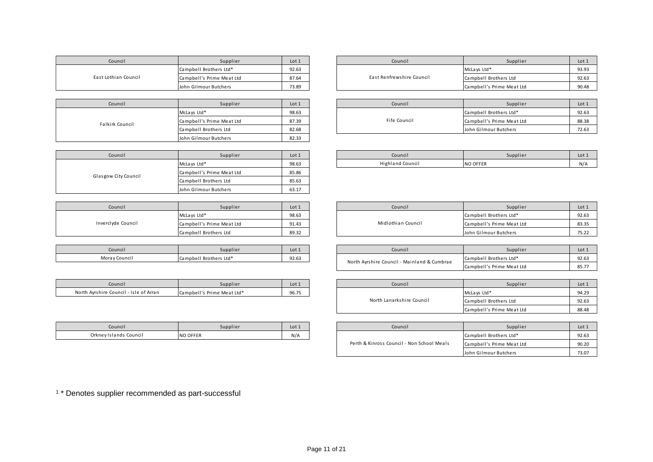| Council              | Supplier                  | Lot 1 | Council                   |  |
|----------------------|---------------------------|-------|---------------------------|--|
|                      | Campbell Brothers Ltd*    | 92.63 |                           |  |
| East Lothian Council | Campbell's Prime Meat Ltd | 87.64 | East Renfrewshire Council |  |
|                      | John Gilmour Butchers     | 73.89 |                           |  |
|                      |                           |       |                           |  |
| Council              | Supplier                  | Lot 1 | Council                   |  |
|                      | McLays Ltd*               | 98.63 |                           |  |
| Falkirk Council      | Campbell's Prime Meat Ltd | 87.39 | Fife Council              |  |
|                      | Campbell Brothers Ltd     | 82.68 |                           |  |
|                      | John Gilmour Butchers     | 82.33 |                           |  |
|                      |                           |       |                           |  |
|                      |                           |       |                           |  |

| Council              | Supplier                  | Lot 1 |
|----------------------|---------------------------|-------|
|                      | McLays Ltd*               | 98.63 |
| Glasgow City Council | Campbell's Prime Meat Ltd | 85.86 |
|                      | Campbell Brothers Ltd     | 85.63 |
|                      | John Gilmour Butchers     | 63.17 |

| Council            | Supplier                  | Lot 1 |
|--------------------|---------------------------|-------|
|                    | McLays Ltd*               | 98.63 |
| Inverclyde Council | Campbell's Prime Meat Ltd | 91.43 |
|                    | Campbell Brothers Ltd     | 89.32 |

| `ounci l      | Supplier               | Lot 1 |
|---------------|------------------------|-------|
| Moray Council | Campbell Brothers Ltd* | 92.63 |

| Council                                | Supplier                   | .ot   |
|----------------------------------------|----------------------------|-------|
| North Ayrshire Council - Isle of Arran | Campbell's Prime Meat Ltd* | 96.75 |

| Council                | Supplier        | Lot 1 |
|------------------------|-----------------|-------|
| Orkney Islands Council | <b>NO OFFER</b> | N/A   |

| Council       | Supplier                  | Lot 1 | Council                   | Supplier                  | Lot:  |
|---------------|---------------------------|-------|---------------------------|---------------------------|-------|
|               | Campbell Brothers Ltd*    | 92.63 |                           | McLays Ltd*               | 93.93 |
| thian Council | Campbell's Prime Meat Ltd | 87.64 | East Renfrewshire Council | Campbell Brothers Ltd     | 92.63 |
|               | John Gilmour Butchers     | 73.89 |                           | Campbell's Prime Meat Ltd | 90.48 |

|                         | Supplier                  | Lot 1 |  | Council      | Supplier                  | Lot 1 |
|-------------------------|---------------------------|-------|--|--------------|---------------------------|-------|
| Council<br>sirk Council | McLays Ltd*               | 98.63 |  | Fife Council | Campbell Brothers Ltd*    | 92.63 |
|                         | Campbell's Prime Meat Ltd | 87.39 |  |              | Campbell's Prime Meat Ltd | 88.38 |
|                         | Campbell Brothers Ltd     | 82.68 |  |              | John Gilmour Butchers     | 72.63 |

| Council | Supplier    | Lot 1 | Council          | Supplier        | Lot |
|---------|-------------|-------|------------------|-----------------|-----|
|         | McLays Ltd* | 98.63 | Highland Counci. | <b>NO OFFER</b> | N/t |

| Council      | Supplier                  | Lot 1 | Council            | Supplier                  | Lot:  |
|--------------|---------------------------|-------|--------------------|---------------------------|-------|
| dyde Council | McLays Ltd*               | 98.63 | Midlothian Council | Campbell Brothers Ltd*    | 92.63 |
|              | Campbell's Prime Meat Ltd | 91.43 |                    | Campbell's Prime Meat Ltd | 83.35 |
|              | Campbell Brothers Ltd     | 89.32 |                    | John Gilmour Butchers     | 75.22 |

| Council       | Supplier               | Lot 1 | Council                                     | Supplier                  | Lot   |
|---------------|------------------------|-------|---------------------------------------------|---------------------------|-------|
| Moray Council | Campbell Brothers Ltd* | 92.63 | North Avrshire Council - Mainland & Cumbrae | Campbell Brothers Ltd*    | 92.63 |
|               |                        |       |                                             | Campbell's Prime Meat Ltd | 85.7  |

| Council                                | Supplier                   | Lot 1                     |                       | Council | Supplier                  | Lot 1 |
|----------------------------------------|----------------------------|---------------------------|-----------------------|---------|---------------------------|-------|
| North Ayrshire Council - Isle of Arran | Campbell's Prime Meat Ltd* | 96.75                     |                       |         | McLays Ltd*               | 94.29 |
|                                        |                            | North Lanarkshire Council | Campbell Brothers Ltd | 92.63   |                           |       |
|                                        |                            |                           |                       |         | Campbell's Prime Meat Ltd | 88.48 |

| Council                | Supplier        | Lot 1                                      |                           | Council | Supplier               | Lot 1 |
|------------------------|-----------------|--------------------------------------------|---------------------------|---------|------------------------|-------|
| Orkney Islands Council | <b>NO OFFER</b> | N/A                                        |                           |         | Campbell Brothers Ltd* | 92.63 |
|                        |                 | Perth & Kinross Council - Non School Meals | Campbell's Prime Meat Ltd | 90.20   |                        |       |
|                        |                 |                                            |                           |         | John Gilmour Butchers  | 73.07 |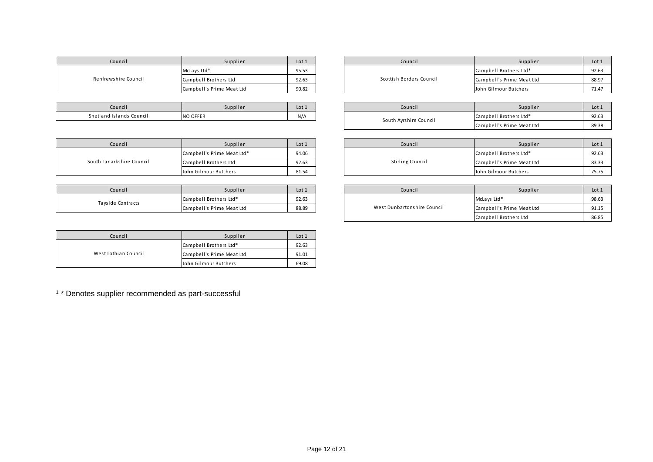| Council              | Supplier                  | Lot 1 |
|----------------------|---------------------------|-------|
|                      | McLays Ltd*               | 95.53 |
| Renfrewshire Council | Campbell Brothers Ltd     | 92.63 |
|                      | Campbell's Prime Meat Ltd | 90.82 |

| Council                  | Supplier        | Lot <sub>1</sub> |
|--------------------------|-----------------|------------------|
| Shetland Islands Council | <b>NO OFFER</b> | N/A              |

| Council                   | Supplier                   | Lot 1 | Council                 |
|---------------------------|----------------------------|-------|-------------------------|
| South Lanarkshire Council | Campbell's Prime Meat Ltd* | 94.06 |                         |
|                           | Campbell Brothers Ltd      | 92.63 | <b>Stirling Council</b> |
|                           | John Gilmour Butchers      | 81.54 |                         |

| Council           | Supplier                  | Lot 1 | Council                     |
|-------------------|---------------------------|-------|-----------------------------|
| Tayside Contracts | Campbell Brothers Ltd*    | 92.63 |                             |
|                   | Campbell's Prime Meat Ltd | 88.89 | West Dunbartonshire Council |

| Council              | Supplier                  | Lot 1 |
|----------------------|---------------------------|-------|
|                      | Campbell Brothers Ltd*    | 92.63 |
| West Lothian Council | Campbell's Prime Meat Ltd | 91.01 |
|                      | John Gilmour Butchers     | 69.08 |

| Council        | Supplier                  | Lot 1 | Council                  | Supplier                  | Lot : |
|----------------|---------------------------|-------|--------------------------|---------------------------|-------|
| wshire Council | McLays Ltd*               | 95.53 | Scottish Borders Council | Campbell Brothers Ltd*    | 92.63 |
|                | Campbell Brothers Ltd     | 92.63 |                          | Campbell's Prime Meat Ltd | 88.97 |
|                | Campbell's Prime Meat Ltd | 90.82 |                          | John Gilmour Butchers     | 71.47 |

| Council                  | Supplier | Lot 1 | Council                | Supplier                  | Lot 1 |
|--------------------------|----------|-------|------------------------|---------------------------|-------|
| Shetland Islands Council | NO OFFER | N/A   | South Ayrshire Council | Campbell Brothers Ltd*    | 92.63 |
|                          |          |       |                        | Campbell's Prime Meat Ltd | 89.38 |

| Council          | Supplier                   | Lot 1 | Council          | Supplier                  | Lot 1 |
|------------------|----------------------------|-------|------------------|---------------------------|-------|
| arkshire Council | Campbell's Prime Meat Ltd* | 94.06 | Stirling Council | Campbell Brothers Ltd*    | 92.63 |
|                  | Campbell Brothers Ltd      | 92.63 |                  | Campbell's Prime Meat Ltd | 83.33 |
|                  | John Gilmour Butchers      | 81.54 |                  | John Gilmour Butchers     | 75.75 |

| Council      | Supplier                  | Lot 1 | Council                     | Supplier                  | Lot 1 |
|--------------|---------------------------|-------|-----------------------------|---------------------------|-------|
|              | Campbell Brothers Ltd*    | 92.63 |                             | McLays Ltd*               | 98.63 |
| de Contracts | Campbell's Prime Meat Ltd | 88.89 | West Dunbartonshire Council | Campbell's Prime Meat Ltd | 91.15 |
|              |                           |       |                             | Campbell Brothers Ltd     | 86.85 |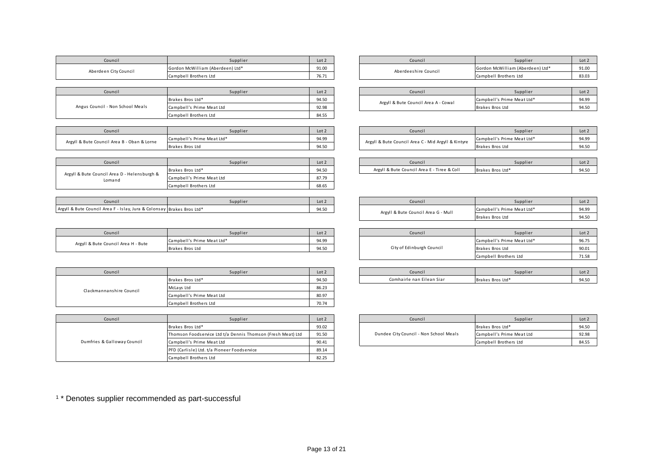| Council               | Supplier                                                                    | Lot 2 | Council              | Supplier                         | Lot 2 |
|-----------------------|-----------------------------------------------------------------------------|-------|----------------------|----------------------------------|-------|
| Aberdeen City Council | 91.00<br>Gordon McWilliam (Aberdeen) Ltd*<br>76.71<br>Campbell Brothers Ltd |       | Aberdeeshire Council | Gordon McWilliam (Aberdeen) Ltd* | 91.00 |
|                       |                                                                             |       |                      | Campbell Brothers Ltd            | 83.03 |
|                       |                                                                             |       |                      |                                  |       |
| Council               | Supplier                                                                    | Lot 2 | Council              | Supplier                         | Lot 2 |
|                       |                                                                             |       |                      |                                  |       |

| Angus Council - Non School Meals | Brakes Bros Ltd*          | 94.50 | Argyll & Bute Council Area A - Cowal | Campbell's Prime Meat Ltd* | 94.99 |
|----------------------------------|---------------------------|-------|--------------------------------------|----------------------------|-------|
|                                  | Campbell's Prime Meat Ltd | 92.98 |                                      | Brakes Bros Ltd            | 94.50 |
|                                  | Campbell Brothers Ltd     | 84.55 |                                      |                            |       |
|                                  |                           |       |                                      |                            |       |

| Council                                     | Supplier                   | Lot 2 | Council                                             |
|---------------------------------------------|----------------------------|-------|-----------------------------------------------------|
| Argyll & Bute Council Area B - Oban & Lorne | Campbell's Prime Meat Ltd* | 94.99 | Argyll & Bute Council Area C - Mid Argyll & Kintyre |
|                                             | Brakes Bros Ltd            | 94.50 |                                                     |

| Council                                                | Supplier                  | Lot 2 | Council                                     | Supplier         | Lot 2 |
|--------------------------------------------------------|---------------------------|-------|---------------------------------------------|------------------|-------|
|                                                        | Brakes Bros Ltd*          | 94.50 | Argyll & Bute Council Area E - Tiree & Coll | Brakes Bros Ltd* | 94.50 |
| Argyll & Bute Council Area D - Helensburgh &<br>Lomand | Campbell's Prime Meat Ltd | 87.79 |                                             |                  |       |
|                                                        | Campbell Brothers Ltd     | 68.65 |                                             |                  |       |

| Council                                                                | Supplier | Lot 2 | Council                             | Supplier                    | Lot:  |
|------------------------------------------------------------------------|----------|-------|-------------------------------------|-----------------------------|-------|
| Argyll & Bute Council Area F - Islay, Jura & Colonsay Brakes Bros Ltd* |          | 94.50 | Arayll & Rute Council Ares G., Mull | S Prime Meat Ltd*<br>Campbe | 94.9° |

| Supplier<br>Lot 2                |       |  | Council              | Supplier                              | Lot 2 |
|----------------------------------|-------|--|----------------------|---------------------------------------|-------|
| Gordon McWilliam (Aberdeen) Ltd* | 91.00 |  | Aberdeeshire Council | Gordon McWilliam (Aberdeen) Ltd*      | 91.00 |
| Campbell Brothers Ltd            | 76.71 |  |                      | Campbell Brothers Ltd                 | 83.03 |
|                                  |       |  |                      |                                       |       |
| Supplier                         | Lot 2 |  | Council              | Supplier                              | Lot 2 |
| Dealene Dean Ital®               | 0.150 |  |                      | $Cauchballc$ $Ddma$ Most $Hab$ is $d$ | 04.00 |

| Council                   | Supplier                   | Lot 2 | Council                                             | Supplier                   | Lot <sub>2</sub> |
|---------------------------|----------------------------|-------|-----------------------------------------------------|----------------------------|------------------|
|                           | Campbell's Prime Meat Ltd* | 94.99 | Argyll & Bute Council Area C - Mid Argyll & Kintyre | Campbell's Prime Meat Ltd* | 94.99            |
| cil Area B - Oban & Lorne | Brakes Bros Ltd            | 94.50 |                                                     | Brakes Bros Ltd            | 94.50            |
|                           |                            |       |                                                     |                            |                  |
| Council                   | Supplier                   | Lot 2 | Council                                             | Supplier                   | Lot 2            |

| Council                             | Supplier                   | Lot <sub>2</sub> |
|-------------------------------------|----------------------------|------------------|
| Argyll & Bute Council Area G - Mull | Campbell's Prime Meat Ltd* | 94.99            |
|                                     | Brakes Bros Ltd            | 94.50            |

| Council               | Supplier                   | Lot 2 |  | Council                   | Supplier                   | Lot:  |
|-----------------------|----------------------------|-------|--|---------------------------|----------------------------|-------|
|                       | Campbell's Prime Meat Ltd* | 94.99 |  |                           | Campbell's Prime Meat Ltd* | 96.75 |
| Council Area H - Bute | Brakes Bros Ltd            | 94.50 |  | City of Edinburgh Council | Brakes Bros Ltd            | 90.01 |
|                       |                            |       |  |                           | Campbell Brothers Ltd      | 71.58 |

| Council | Supplier                      | Lotz  | Council                        | Supplier         | Lot  |
|---------|-------------------------------|-------|--------------------------------|------------------|------|
|         | s Bros Ltd'<br><b>I</b> Brake | 94.50 | Eilean Siar<br>Comhairle nan I | Brakes Bros Ltd* | 94.5 |

| Council                  | Supplier                  | Lot 2 |
|--------------------------|---------------------------|-------|
|                          | Brakes Bros Ltd*          | 94.50 |
|                          | McLa vs Ltd               | 86.23 |
| Clackmannanshire Council | Campbell's Prime Meat Ltd | 80.97 |
|                          | Campbell Brothers Ltd     | 70.74 |

| Council                     | Supplier                                                    | Lot 2 |
|-----------------------------|-------------------------------------------------------------|-------|
|                             | Brakes Bros Ltd*                                            | 93.02 |
|                             | Thomson Foodservice Ltd t/a Dennis Thomson (Fresh Meat) Ltd | 91.50 |
| Dumfries & Galloway Council | Campbell's Prime Meat Ltd                                   | 90.41 |
|                             | PFD (Carlisle) Ltd. t/a Pioneer Foodservice                 | 89.14 |
|                             | Campbell Brothers Ltd                                       | 82.25 |

| Council          | Supplier                                                    | Lot 2 | Council                                | Supplier                  | Lot 2 |
|------------------|-------------------------------------------------------------|-------|----------------------------------------|---------------------------|-------|
|                  | Brakes Bros Ltd*                                            | 93.02 |                                        | Brakes Bros Ltd*          | 94.50 |
|                  | Thomson Foodservice Ltd t/a Dennis Thomson (Fresh Meat) Ltd | 91.50 | Dundee City Council - Non School Meals | Campbell's Prime Meat Ltd | 92.98 |
| Galloway Council | Campbell's Prime Meat Ltd                                   | 90.41 |                                        | Campbell Brothers Ltd     | 84.55 |

<sup>1</sup> \* Denotes supplier recommended as part-successful

Argyll & Bute Council Area H - Bute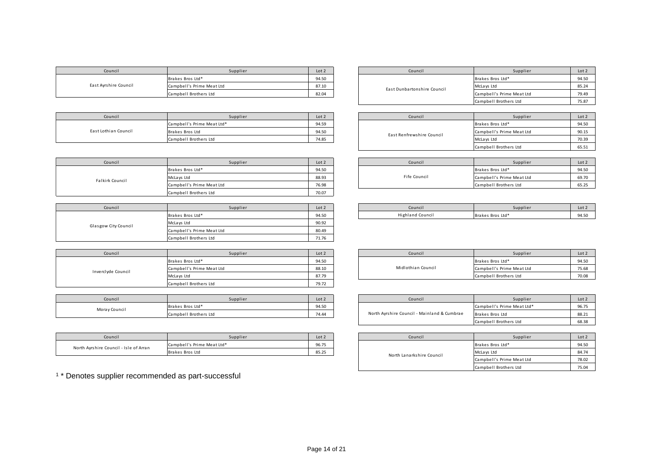| Council               | Supplier                  | Lot 2 |  | Council                     | Supplier                  | Lot 2 |
|-----------------------|---------------------------|-------|--|-----------------------------|---------------------------|-------|
| East Ayrshire Council | Brakes Bros Ltd*          | 94.50 |  |                             | Brakes Bros Ltd*          | 94.50 |
|                       | Campbell's Prime Meat Ltd | 87.10 |  | East Dunbartonshire Council | McLays Ltd                | 85.24 |
|                       | Campbell Brothers Ltd     | 82.04 |  |                             | Campbell's Prime Meat Ltd | 79.49 |

| Council              | Supplier                   | Lot 2 | Council                   | Supplier                  | Lot 2 |
|----------------------|----------------------------|-------|---------------------------|---------------------------|-------|
| East Lothian Council | Campbell's Prime Meat Ltd* | 94.59 |                           | Brakes Bros Ltd*          | 94.50 |
|                      | Brakes Bros Ltd            | 94.50 | East Renfrewshire Council | Campbell's Prime Meat Ltd | 90.15 |
|                      | Campbell Brothers Ltd      | 74.85 |                           | McLays Ltd                | 70.39 |

| Council         | Supplier                  | Lot 2 | Council      | Supplier                  | Lot 2 |
|-----------------|---------------------------|-------|--------------|---------------------------|-------|
| Falkirk Council | Brakes Bros Ltd*          | 94.50 |              | Brakes Bros Ltd*          | 94.50 |
|                 | McLays Ltd                | 88.93 | Fife Council | Campbell's Prime Meat Ltd | 69.70 |
|                 | Campbell's Prime Meat Ltd | 76.98 |              | Campbell Brothers Ltd     | 65.25 |
|                 | Campbell Brothers Ltd     | 70.07 |              |                           |       |

| Council              | Supplier                  | Lot 2 |
|----------------------|---------------------------|-------|
|                      | Brakes Bros Ltd*          | 94.50 |
| Glasgow City Council | McLays Ltd                | 90.92 |
|                      | Campbell's Prime Meat Ltd | 80.49 |
|                      | Campbell Brothers Ltd     | 71.76 |

| Council            | Supplier                  | Lot 2 | Council            | Supplier                  | Lot 2 |
|--------------------|---------------------------|-------|--------------------|---------------------------|-------|
| Inverclyde Council | Brakes Bros Ltd*          | 94.50 |                    | Brakes Bros Ltd*          | 94.50 |
|                    | Campbell's Prime Meat Ltd | 88.10 | Midlothian Council | Campbell's Prime Meat Ltd | 75.68 |
|                    | McLays Ltd                | 87.79 |                    | Campbell Brothers Ltd     | 70.08 |
|                    | Campbell Brothers Ltd     | 79.72 |                    |                           |       |

| Council       | Supplier              | Lot 2 |
|---------------|-----------------------|-------|
| Moray Council | Brakes Bros Ltd*      | 94.50 |
|               | Campbell Brothers Ltd | 74.44 |

| Council                                | Supplier                   | Lot 2 | Council                   | Supplier         | Lot 2 |
|----------------------------------------|----------------------------|-------|---------------------------|------------------|-------|
|                                        | Campbell's Prime Meat Ltd* | 96.75 |                           | Brakes Bros Ltd* | 94.50 |
| North Ayrshire Council - Isle of Arran | Brakes Bros Ltd            | 85.2  | North Lanarkchire Council | McLays Ltd       | 84.74 |

| Supplier                  | Lot 2 | Council                     | Supplier                  | Lot <sub>2</sub> |
|---------------------------|-------|-----------------------------|---------------------------|------------------|
| Brakes Bros Ltd*          | 94.50 |                             | Brakes Bros Ltd*          | 94.50            |
| Campbell's Prime Meat Ltd | 87.10 | East Dunbartonshire Council | McLays Ltd                | 85.24            |
| Campbell Brothers Ltd     | 82.04 |                             | Campbell's Prime Meat Ltd | 79.49            |
|                           |       |                             | Campbell Brothers Ltd     | 75.87            |

| Supplier                   | Lot 2 | Council                   | Supplier                  | Lot 2 |
|----------------------------|-------|---------------------------|---------------------------|-------|
| Campbell's Prime Meat Ltd* | 94.59 |                           | Brakes Bros Ltd*          | 94.50 |
| Brakes Bros Ltd            | 94.50 | East Renfrewshire Council | Campbell's Prime Meat Ltd | 90.15 |
| Campbell Brothers Ltd      | 74.85 |                           | McLays Ltd                | 70.39 |
|                            |       |                           | Campbell Brothers Ltd     | 65.51 |

| Supplier                  | Lot 2 | Council      | Supplier                  | Lot 2 |
|---------------------------|-------|--------------|---------------------------|-------|
| Brakes Bros Ltd*          | 94.50 |              | Brakes Bros Ltd*          | 94.50 |
| McLays Ltd                | 88.93 | Fife Council | Campbell's Prime Meat Ltd | 69.70 |
| Campbell's Prime Meat Ltd |       |              | Campbell Brothers Ltd     | 65.25 |

| Council | Supplier               | Lot 2 | Council                 | Supplier                   | Lot.                        |
|---------|------------------------|-------|-------------------------|----------------------------|-----------------------------|
|         | s Bros Ltd*<br>- Brake | 94.50 | <b>Highland Council</b> | كاسفليت<br>Brakes Bros Ltu | $0A$ <sub>5</sub><br>- 74.J |

| Supplier                  | Lot 2          |  | Council            | Supplier                  | Lot 2 |
|---------------------------|----------------|--|--------------------|---------------------------|-------|
| Brakes Bros Ltd*          | 94.50          |  |                    | Brakes Bros Ltd*          | 94.50 |
| Campbell's Prime Meat Ltd | 88.10<br>87.79 |  | Midlothian Council | Campbell's Prime Meat Ltd | 75.68 |
| McLays Ltd                |                |  |                    | Campbell Brothers Ltd     | 70.08 |

| Council     | Supplier              | Lot 2 | Council                                     | Supplier                   | Lot 2 |
|-------------|-----------------------|-------|---------------------------------------------|----------------------------|-------|
| rav Council | Brakes Bros Ltd*      | 94.50 |                                             | Campbell's Prime Meat Ltd* | 96.75 |
|             | Campbell Brothers Ltd | 74.44 | North Ayrshire Council - Mainland & Cumbrae | Brakes Bros Ltd            | 88.21 |
|             |                       |       |                                             | Campbell Brothers Ltd      | 68.38 |

| Supplier                   | Lot 2 | Council                   | Supplier                  | Lot 2 |
|----------------------------|-------|---------------------------|---------------------------|-------|
| Campbell's Prime Meat Ltd* | 96.75 |                           | Brakes Bros Ltd*          | 94.50 |
| 85.25<br>Brakes Bros Ltd   |       | North Lanarkshire Council | McLays Ltd                | 84.74 |
|                            |       |                           | Campbell's Prime Meat Ltd | 78.02 |
|                            |       |                           | Campbell Brothers Ltd     | 75.04 |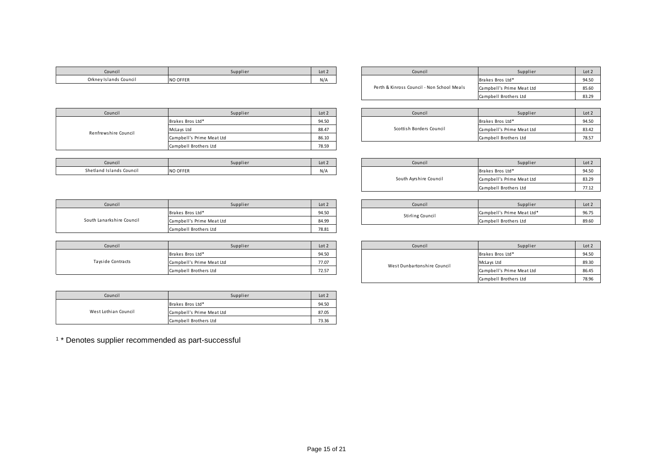| <b>NO OFFER</b><br>Orkney Islands Council | N/A |  | , Bros Ltd* | 01E<br>ノサ・コン |
|-------------------------------------------|-----|--|-------------|--------------|

| Council        | Supplier        | Lot 2                                      | Council                   | Supplier              | Lot 2 |
|----------------|-----------------|--------------------------------------------|---------------------------|-----------------------|-------|
| slands Council | <b>NO OFFER</b> | N/A                                        | Brakes Bros Ltd*          |                       | 94.50 |
|                |                 | Perth & Kinross Council - Non School Meals | Campbell's Prime Meat Ltd | 85.60                 |       |
|                |                 |                                            |                           | Campbell Brothers Ltd | 83.29 |

| Council              | Supplier                  | Lot 2 | Council                  | Supplier                  | Lot 2 |
|----------------------|---------------------------|-------|--------------------------|---------------------------|-------|
|                      | Brakes Bros Ltd*          | 94.50 |                          | Brakes Bros Ltd*          | 94.50 |
| Renfrewshire Council | McLays Ltd                | 88.47 | Scottish Borders Council | Campbell's Prime Meat Ltd | 83.42 |
|                      | Campbell's Prime Meat Ltd | 86.10 |                          | Campbell Brothers Ltd     | 78.57 |
|                      | Campbell Brothers Ltd     | 78.59 |                          |                           |       |

| Council                  | Supplier        | Lot 2 | Council | Supplier         | Lot <sub>2</sub> |
|--------------------------|-----------------|-------|---------|------------------|------------------|
| Shetland Islands Council | <b>NO OFFER</b> | N/A   |         | Brakes Bros Ltd* | 94.50            |

| Supplier                  | Lot 2 | Council                  | Supplier                  | Lot 2 |
|---------------------------|-------|--------------------------|---------------------------|-------|
| Brakes Bros Ltd*          | 94.50 |                          | Brakes Bros Ltd*          | 94.50 |
| McLays Ltd                | 88.47 | Scottish Borders Council | Campbell's Prime Meat Ltd | 83.42 |
| Campbell's Prime Meat Ltd | 86.10 |                          | Campbell Brothers Ltd     | 78.57 |
|                           |       |                          |                           |       |

| Council                | Supplier                  | Lot 2 |
|------------------------|---------------------------|-------|
|                        | Brakes Bros Ltd*          | 94.50 |
| South Ayrshire Council | Campbell's Prime Meat Ltd | 83.29 |
|                        | Campbell Brothers Ltd     | 77.12 |

| Supplier                  | Lot 2 |       | Council.         | Supplier                   | Lot <sub>2</sub> |
|---------------------------|-------|-------|------------------|----------------------------|------------------|
| Brakes Bros Ltd*          | 94.50 |       | Stirling Council | Campbell's Prime Meat Ltd* | 96.75            |
| Campbell's Prime Meat Ltd |       | 84.99 |                  | Campbell Brothers Ltd      | 89.60            |

| Council      | Supplier                  | Lot 2 | Council                     | Supplier                  | Lot <sub>2</sub> |
|--------------|---------------------------|-------|-----------------------------|---------------------------|------------------|
|              | Brakes Bros Ltd*          | 94.50 |                             | Brakes Bros Ltd*          | 94.50            |
| de Contracts | Campbell's Prime Meat Ltd | 77.07 | West Dunbartonshire Council | McLays Ltd                | 89.30            |
|              | Campbell Brothers Ltd     | 72.57 |                             | Campbell's Prime Meat Ltd | 86.45            |
|              |                           |       |                             | Campbell Brothers Ltd     | 78.96            |

| Council                   | Supplier                  | Lot 2 | Council          | Supplier                   | Lot 2 |
|---------------------------|---------------------------|-------|------------------|----------------------------|-------|
|                           | Brakes Bros Ltd*          | 94.50 | Stirling Council | Campbell's Prime Meat Ltd* | 96.75 |
| South Lanarkshire Council | Campbell's Prime Meat Ltd | 84.99 |                  | Campbell Brothers Ltd      | 89.60 |
|                           | Campbell Brothers Ltd     | 78.81 |                  |                            |       |

| Council           | Supplier                  | Lot 2 | Council                     |
|-------------------|---------------------------|-------|-----------------------------|
|                   | Brakes Bros Ltd*          | 94.50 |                             |
| Tayside Contracts | Campbell's Prime Meat Ltd | 77.07 | West Dunbartonshire Council |
|                   | Campbell Brothers Ltd     | 72.57 |                             |

| Council              | Supplier                  | Lot 2 |
|----------------------|---------------------------|-------|
|                      | Brakes Bros Ltd*          | 94.50 |
| West Lothian Council | Campbell's Prime Meat Ltd | 87.05 |
|                      | Campbell Brothers Ltd     | 73.36 |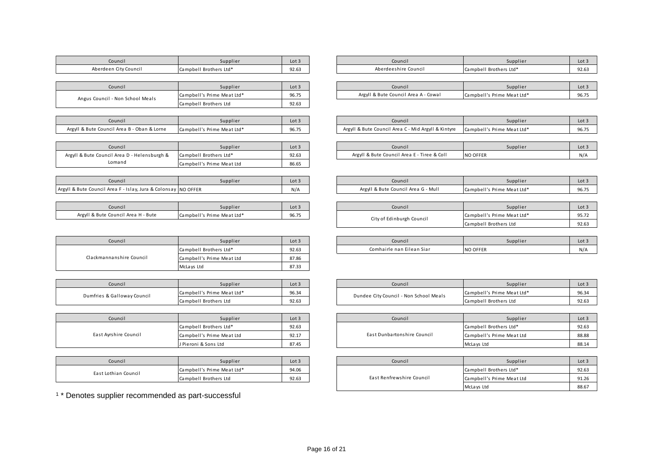| Council                          | Supplier                   | Lot 3                |
|----------------------------------|----------------------------|----------------------|
| Aberdeen City Council            | Campbell Brothers Ltd*     | 92.63                |
|                                  |                            |                      |
| Council                          | Supplier                   | Lot $3$              |
| Angus Council - Non School Meals | Campbell's Prime Meat Ltd* | 96.75                |
|                                  | Campbell Brothers Ltd      | 92.63                |
|                                  |                            |                      |
| $\sim$ $\sim$                    | $ -$                       | $\sim$ $\sim$ $\sim$ |

| lounci l                                    | Supplier                   |       |
|---------------------------------------------|----------------------------|-------|
| Argyll & Bute Council Area B - Oban & Lorne | Campbell's Prime Meat Ltd* | 96.75 |
|                                             |                            |       |

| Council                                      | Supplier                  | Lot 3 |
|----------------------------------------------|---------------------------|-------|
| Argyll & Bute Council Area D - Helensburgh & | Campbell Brothers Ltd*    | 92.63 |
| Lomand                                       | Campbell's Prime Meat Ltd | 86.65 |

| Council                                                        | Supplier | Lot 3 | Council                             | supplier                   | Lot $3$                        |
|----------------------------------------------------------------|----------|-------|-------------------------------------|----------------------------|--------------------------------|
| Argyll & Bute Council Area F - Islay, Jura & Colonsay NO OFFER |          | N/A   | Argyll & Bute Council Area G - Mull | Campbell's Prime Meat Ltd* | 0 <sub>0</sub><br><b>JU.I.</b> |

| Council                             | Supplier                   | Lot $\exists$ |
|-------------------------------------|----------------------------|---------------|
| Argyll & Bute Council Area H - Bute | Campbell's Prime Meat Ltd* | 96.75         |

| Council                  | Supplier                  | Lot $3$ |
|--------------------------|---------------------------|---------|
|                          | Campbell Brothers Ltd*    | 92.63   |
| Clackmannanshire Council | Campbell's Prime Meat Ltd | 87.86   |
|                          | McLays Ltd                | 87.33   |

| Council                     | Supplier                   | Lot 3 | Council                                |
|-----------------------------|----------------------------|-------|----------------------------------------|
| Dumfries & Galloway Council | Campbell's Prime Meat Ltd* | 96.34 | Dundee City Council - Non School Meals |
|                             | Campbell Brothers Ltd      | 92.63 |                                        |

| Council               | Supplier                  | Lot $3$ |
|-----------------------|---------------------------|---------|
| East Ayrshire Council | Campbell Brothers Ltd*    | 92.63   |
|                       | Campbell's Prime Meat Ltd | 92.17   |
|                       | J Pieroni & Sons Ltd      | 87.45   |

| Council              | Supplier                   | Lot 3 |
|----------------------|----------------------------|-------|
|                      | Campbell's Prime Meat Ltd* | 94.06 |
| East Lothian Council | Campbell Brothers Ltd      | 92.63 |

| Council               | Supplier                     | Lot 3 | Council              | Supplier                       | Lot.  |
|-----------------------|------------------------------|-------|----------------------|--------------------------------|-------|
| Aberdeen City Council | Campbell<br>.ı Brothers Ltd* | 92.63 | Aberdeeshire Council | l Brothers Ltd*<br>I Campbel i | 92.6. |

|                    | Council | Supplier                   | Lot 3 | Council                                   | Supplier                   | Lot: |
|--------------------|---------|----------------------------|-------|-------------------------------------------|----------------------------|------|
| - Non School Meals |         | Campbell's Prime Meat Ltd* | 96.75 | Argyll & Bute Council Area A -<br>. Cowai | Campbell's Prime Meat Ltd* | 96.7 |

| Council                                     | supplier                   | Lot $3$ | Council                                                 | Supplier                   | Lot  |
|---------------------------------------------|----------------------------|---------|---------------------------------------------------------|----------------------------|------|
| Argyll & Bute Council Area B - Oban & Lorne | Campbell's Prime Meat Ltd* | 96.75   | Il & Bute Council Area C - Mid Argyll & Kintyre<br>Argy | Campbell's Prime Meat Ltd* | 96.7 |

| Council                   | Supplier               | Lot 3 | Council                                          | Supplier        | Lot |
|---------------------------|------------------------|-------|--------------------------------------------------|-----------------|-----|
| il Area D - Helensburgh & | Campbell Brothers Ltd* | 92.63 | I & Bute Council Area E - Tiree & Coll<br>Argyll | <b>NO OFFER</b> | N/  |

| Council                                    | Supplier | Lot 3 | Council                                              | Supplier                   | Lot   |
|--------------------------------------------|----------|-------|------------------------------------------------------|----------------------------|-------|
| \rea F - Islay, Jura & Colonsay   NO OFFER |          | N/A   | Il & Bute Council Area G - Mull<br>Argy <sup>1</sup> | Campbell's Prime Meat Ltd* | 96.75 |

| Council                             | Supplier                   | Lot 3 | Council                   | Supplier                   | Lot.  |
|-------------------------------------|----------------------------|-------|---------------------------|----------------------------|-------|
| Argyll & Bute Council Area H - Bute | Campbell's Prime Meat Ltd* | 96.75 | City of Edinburgh Council | Campbell's Prime Meat Ltd* | 95.72 |
|                                     |                            |       |                           | Campbell Brothers Ltd      | 92.63 |

| Council | Supplier                     | Lot 3 | Council                   | Supplier        | Lot |
|---------|------------------------------|-------|---------------------------|-----------------|-----|
|         | Campbell Brothers Ltd*<br>∼u | 92.63 | Comhairle nan Eilean Siar | <b>NO OFFER</b> | N/t |

| Council          | Supplier                   | Lot 3 | Council                                | Supplier                   | Lot:  |
|------------------|----------------------------|-------|----------------------------------------|----------------------------|-------|
| Galloway Council | Campbell's Prime Meat Ltd* | 96.34 |                                        | Campbell's Prime Meat Ltd* | 96.34 |
|                  | Campbell Brothers Ltd      | 92.63 | Dundee City Council - Non School Meals | Campbell Brothers Ltd      | 92.63 |

| Council        | Supplier                  | Lot 3 | Council                     | Supplier                  | Lot:  |
|----------------|---------------------------|-------|-----------------------------|---------------------------|-------|
|                | Campbell Brothers Ltd*    | 92.63 |                             | Campbell Brothers Ltd*    | 92.63 |
| rshire Council | Campbell's Prime Meat Ltd | 92.17 | East Dunbartonshire Council | Campbell's Prime Meat Ltd | 88.88 |
|                | J Pieroni & Sons Ltd      | 87.45 |                             | McLays Ltd                | 88.14 |

| Council       | Supplier                   | Lot 3 | Council                   | Supplier                  | Lot   |
|---------------|----------------------------|-------|---------------------------|---------------------------|-------|
| thian Council | Campbell's Prime Meat Ltd* | 94.06 |                           | Campbell Brothers Ltd*    | 92.63 |
|               | Campbell Brothers Ltd      | 92.63 | East Renfrewshire Council | Campbell's Prime Meat Ltd | 91.26 |
|               |                            |       |                           | McLays Ltd                | 88.67 |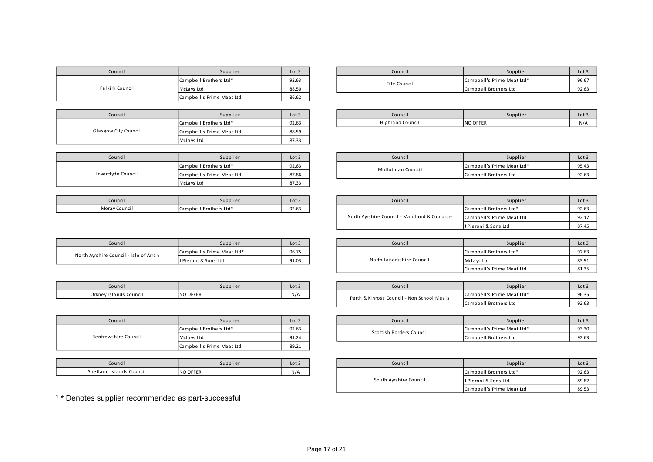| Council         | Supplier                  | Lot $3$ |
|-----------------|---------------------------|---------|
|                 | Campbell Brothers Ltd*    | 92.63   |
| Falkirk Council | McLays Ltd                | 88.50   |
|                 | Campbell's Prime Meat Ltd | 86.62   |

| Council              | Supplier                  | Lot 3 |
|----------------------|---------------------------|-------|
|                      | Campbell Brothers Ltd*    | 92.63 |
| Glasgow City Council | Campbell's Prime Meat Ltd | 88.59 |
|                      | McLays Ltd                | 87.33 |

| Council            | Supplier                  | Lot $3$ |
|--------------------|---------------------------|---------|
|                    | Campbell Brothers Ltd*    | 92.63   |
| Inverclyde Council | Campbell's Prime Meat Ltd | 87.86   |
|                    | McLays Ltd                | 87.33   |

| Council       | Supplier               | Lot 3 |
|---------------|------------------------|-------|
| Moray Council | Campbell Brothers Ltd* | 92.63 |

| Council                                | Supplier                   | Lot $3$ |
|----------------------------------------|----------------------------|---------|
| North Ayrshire Council - Isle of Arran | Campbell's Prime Meat Ltd* | 96.75   |
|                                        | J Pieroni & Sons Ltd       | 91.03   |

| Council                | Supplier        | Lot |
|------------------------|-----------------|-----|
| Orkney Islands Council | <b>NO OFFER</b> |     |

| Council              | Supplier                  | Lot $3$ |
|----------------------|---------------------------|---------|
|                      | Campbell Brothers Ltd*    | 92.63   |
| Renfrewshire Council | McLays Ltd                | 91.24   |
|                      | Campbell's Prime Meat Ltd | 89.21   |

| Council                  | Supplier        | Lot |
|--------------------------|-----------------|-----|
| Shetland Islands Council | <b>NO OFFER</b> | N/A |

| Council     | Supplier               | Lot $3$ | Council      | Supplier                   | Lot:  |
|-------------|------------------------|---------|--------------|----------------------------|-------|
|             | Campbell Brothers Ltd* | 92.63   | Fife Council | Campbell's Prime Meat Ltd* | 96.67 |
| irk Council | McLays Ltd             | 88.50   |              | Campbell Brothers Ltd      | 92.63 |

| Council | Supplier               | Lot 3 | Council                 | Supplier        | Lot.     |
|---------|------------------------|-------|-------------------------|-----------------|----------|
|         | Campbell Brothers Ltd* | 92.63 | <b>Highland Council</b> | <b>NO OFFER</b> | $N/\rho$ |

| Council      | Supplier                  | Lot 3 | Council            | Supplier                   | Lot:  |
|--------------|---------------------------|-------|--------------------|----------------------------|-------|
|              | Campbell Brothers Ltd*    | 92.63 | Midlothian Council | Campbell's Prime Meat Ltd* | 95.4  |
| dyde Council | Campbell's Prime Meat Ltd | 87.86 |                    | Campbell Brothers Ltd      | 92.63 |

| Council       | Supplier               | Lot 3 | Council                                     | Supplier                  | Lot:  |
|---------------|------------------------|-------|---------------------------------------------|---------------------------|-------|
| Moray Council | Campbell Brothers Ltd* | 92.63 |                                             | Campbell Brothers Ltd*    | 92.63 |
|               |                        |       | North Ayrshire Council - Mainland & Cumbrae | Campbell's Prime Meat Ltd | 92.1  |
|               |                        |       |                                             | J Pieroni & Sons Ltd      | 87.45 |

| Council                                                                       | Supplier | Lot 3                     | Council    | Supplier                  | Lot 3 |
|-------------------------------------------------------------------------------|----------|---------------------------|------------|---------------------------|-------|
| Campbell's Prime Meat Ltd*<br>Council - Isle of Arran<br>J Pieroni & Sons Ltd |          | 96.75                     |            | Campbell Brothers Ltd*    | 92.63 |
|                                                                               | 91.03    | North Lanarkshire Council | McLays Ltd | 83.91                     |       |
|                                                                               |          |                           |            | Campbell's Prime Meat Ltd | 81.35 |

| Council                | Supplier        | Lot 3 | Council                                    | Supplier                   | Lot:  |
|------------------------|-----------------|-------|--------------------------------------------|----------------------------|-------|
| Orkney Islands Council | <b>NO OFFER</b> | N/A   | Perth & Kinross Council - Non School Meals | Campbell's Prime Meat Ltd* | 96.3  |
|                        |                 |       |                                            | Campbell Brothers Ltd      | 92.65 |

| Council        | Supplier               | Lot 3 | Council                  | Supplier                   | Lot:  |
|----------------|------------------------|-------|--------------------------|----------------------------|-------|
|                | Campbell Brothers Ltd* | 92.63 | Scottish Borders Council | Campbell's Prime Meat Ltd* | 93.30 |
| wshire Council | McLays Ltd             | 91.24 |                          | Campbell Brothers Ltd      | 92.63 |

| Council                  | Supplier        | Lot 3 | Council                | Supplier                  | Lot <sub>3</sub> |
|--------------------------|-----------------|-------|------------------------|---------------------------|------------------|
| Shetland Islands Council | <b>NO OFFER</b> | N/A   |                        | Campbell Brothers Ltd*    | 92.63            |
|                          |                 |       | South Ayrshire Council | J Pieroni & Sons Ltd      | 89.82            |
|                          |                 |       |                        | Campbell's Prime Meat Ltd | 89.53            |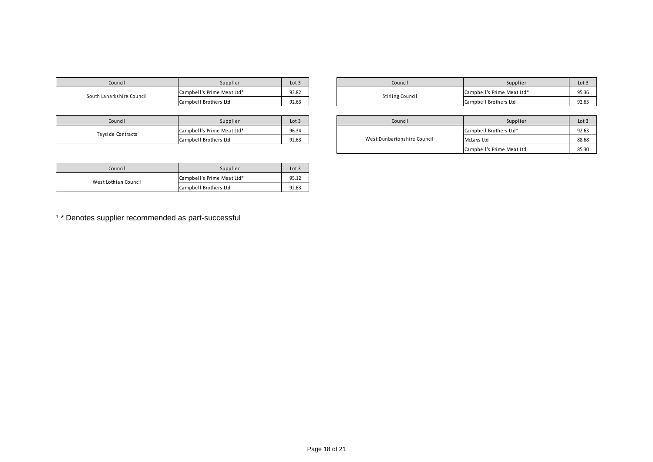|  | Council                   | Supplier                   | Lot 3 | Council                 |
|--|---------------------------|----------------------------|-------|-------------------------|
|  | South Lanarkshire Council | Campbell's Prime Meat Ltd* | 93.82 | <b>Stirling Council</b> |
|  |                           | Campbell Brothers Ltd      | 92.63 |                         |

| Council           | Supplier                   | Lot 3 | Council                     |
|-------------------|----------------------------|-------|-----------------------------|
| Tayside Contracts | Campbell's Prime Meat Ltd* | 96.34 |                             |
|                   | Campbell Brothers Ltd      | 92.63 | West Dunbartonshire Council |

| Council              | Supplier                   | Lot 3 |
|----------------------|----------------------------|-------|
| West Lothian Council | Campbell's Prime Meat Ltd* | 95.12 |
|                      | Campbell Brothers Ltd      | 92.63 |

| Council          | Supplier                   | Lot 3 |  | Council                    | Supplier              | Lot.  |
|------------------|----------------------------|-------|--|----------------------------|-----------------------|-------|
|                  | Campbell's Prime Meat Ltd* | 93.82 |  | Campbell's Prime Meat Ltd* | 95.36<br>ししいし         |       |
| arkshire Council | Campbell Brothers Ltd      | 92.63 |  | Stirling Council           | Campbell Brothers Ltd | 92.63 |

| Council               | Supplier                   | Lot 3 | Council                     | Supplier                  | Lot:  |
|-----------------------|----------------------------|-------|-----------------------------|---------------------------|-------|
| de Contracts          | Campbell's Prime Meat Ltd* | 96.34 |                             | Campbell Brothers Ltd*    | 92.63 |
| Campbell Brothers Ltd |                            | 92.63 | West Dunbartonshire Council | McLays Ltd                | 88.68 |
|                       |                            |       |                             | Campbell's Prime Meat Ltd | 85.30 |

1 \* Denotes supplier recommended as part-successful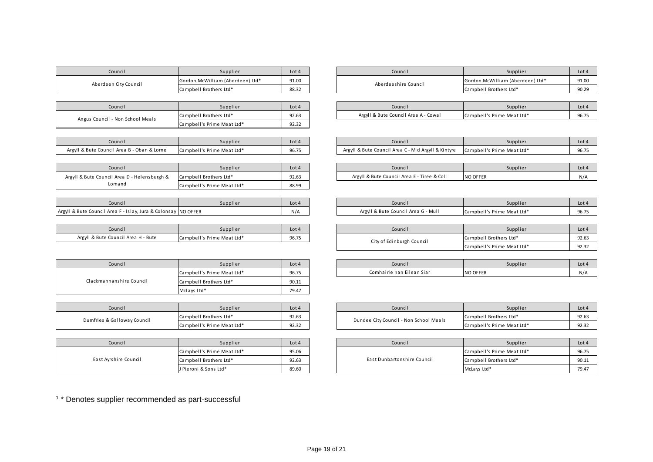| Council               | Supplier                         | Lot 4 | Council              |  |
|-----------------------|----------------------------------|-------|----------------------|--|
| Aberdeen City Council | Gordon McWilliam (Aberdeen) Ltd* | 91.00 | Aberdeeshire Council |  |
|                       | Campbell Brothers Ltd*           | 88.32 |                      |  |
|                       |                                  |       |                      |  |

| Council                          | Supplier                   | Lot $4$ |
|----------------------------------|----------------------------|---------|
| Angus Council - Non School Meals | Campbell Brothers Ltd*     | 92.63   |
|                                  | Campbell's Prime Meat Ltd* | 92.32   |

| Council                                     | Supplier                   | Lot 4 |
|---------------------------------------------|----------------------------|-------|
| Argyll & Bute Council Area B - Oban & Lorne | Campbell's Prime Meat Ltd* | 96.75 |

| Council                                      | Supplier                   | Lot $4$ |
|----------------------------------------------|----------------------------|---------|
| Argyll & Bute Council Area D - Helensburgh & | Campbell Brothers Ltd*     | 92.63   |
| Lomand                                       | Campbell's Prime Meat Ltd* | 88.99   |

| Council                                                        | Supplier | Lot $4$ |
|----------------------------------------------------------------|----------|---------|
| Argyll & Bute Council Area F - Islay, Jura & Colonsay NO OFFER |          | N/A     |

| Council                             | Supplier                   | Lot 4 |
|-------------------------------------|----------------------------|-------|
| Argyll & Bute Council Area H - Bute | Campbell's Prime Meat Ltd* | 96.75 |

| Council                  | Supplier                   | Lot $4$ |
|--------------------------|----------------------------|---------|
|                          | Campbell's Prime Meat Ltd* | 96.75   |
| Clackmannanshire Council | Campbell Brothers Ltd*     | 90.11   |
|                          | McLays Ltd*                | 79.47   |

| Council                     | Supplier                   | Lot 4 | Council                                |
|-----------------------------|----------------------------|-------|----------------------------------------|
| Dumfries & Galloway Council | Campbell Brothers Ltd*     | 92.63 | Dundee City Council - Non School Meals |
|                             | Campbell's Prime Meat Ltd* | 92.32 |                                        |

| Council               | Supplier                   | Lot $4$ |  | Council                     |
|-----------------------|----------------------------|---------|--|-----------------------------|
|                       | Campbell's Prime Meat Ltd* | 95.06   |  |                             |
| East Ayrshire Council | Campbell Brothers Ltd*     | 92.63   |  | East Dunbartonshire Council |
|                       | J Pieroni & Sons Ltd*      | 89.60   |  |                             |

| Council                                                                       | Supplier | Lot 4 | Council                | Supplier                         | $Lot \cdot$ |
|-------------------------------------------------------------------------------|----------|-------|------------------------|----------------------------------|-------------|
| Gordon McWilliam (Aberdeen) Ltd*<br>en City Council<br>Campbell Brothers Ltd* |          | 91.00 | Aberdeeshire Council   | Gordon McWilliam (Aberdeen) Ltd* | 91.00       |
|                                                                               | 88.32    |       | Campbell Brothers Ltd* | 90.29                            |             |

| Council            | Supplier               | Lot 4 | Council                              | Supplier                   | Lot  |
|--------------------|------------------------|-------|--------------------------------------|----------------------------|------|
| - Non School Meals | Campbell Brothers Ltd* | 92.63 | Argyll & Bute Council Area A - Cowal | Campbell's Prime Meat Ltd* | 96.7 |

| Council                                     | Supplier                   | Lot 4                   | Council                                                | Supplier                   | $Lot \cdot$            |
|---------------------------------------------|----------------------------|-------------------------|--------------------------------------------------------|----------------------------|------------------------|
| Argyll & Bute Council Area B - Oban & Lorne | Campbell's Prime Meat Ltd* | 0 <sub>0</sub><br>96.75 | I & Bute Council Area C - Mid Argyll & Kintyre<br>Argy | Campbell's Prime Meat Ltd* | $\sim$ $\sim$<br>90.73 |

| Council                   | Supplier               | Lot 4 | Council                                     | Supplier        | Lot <sub>4</sub> |
|---------------------------|------------------------|-------|---------------------------------------------|-----------------|------------------|
| il Area D - Helensburgh & | Campbell Brothers Ltd* | 92.63 | Argyll & Bute Council Area E - Tiree & Coll | <b>NO OFFER</b> | N/A              |

| Council                                                             | Supplier | Lot 4        | Council                                  | supplier                   | Lot - |
|---------------------------------------------------------------------|----------|--------------|------------------------------------------|----------------------------|-------|
| Argyll & Bute Council Area F -<br>- Islay, Jura & Colonsay NO OFFER |          | $N1/\Lambda$ | l Area G - Mull<br>Argyll & Bute Council | Campbell's Prime Meat Ltd* | 96.7  |

| Council                             | Supplier                   | Lot 4 | Council                                             | Supplier                   | Lot   |
|-------------------------------------|----------------------------|-------|-----------------------------------------------------|----------------------------|-------|
| Argyll & Bute Council Area H - Bute | Campbell's Prime Meat Ltd* | 96.75 | Campbell Brothers Ltd*<br>City of Edinburgh Council |                            | 92.63 |
|                                     |                            |       |                                                     | Campbell's Prime Meat Ltd* | 92.3  |

| Council | Supplier                   | Lot 4 | Council                   | Supplier        | Lot <sub>4</sub> |
|---------|----------------------------|-------|---------------------------|-----------------|------------------|
|         | Campbell's Prime Meat Ltd* | 96.75 | Comhairle nan Eilean Siar | <b>NO OFFER</b> | N/A              |

| Council          | Supplier                   | Lot 4 | Council                                | Supplier                   | $Lot \cdot$ |
|------------------|----------------------------|-------|----------------------------------------|----------------------------|-------------|
| Galloway Council | Campbell Brothers Ltd*     | 92.63 | Dundee City Council - Non School Meals | Campbell Brothers Ltd*     | 92.65       |
|                  | Campbell's Prime Meat Ltd* | 92.32 |                                        | Campbell's Prime Meat Ltd* | 92.3        |

| Council        | Supplier                   | Lot 4 |  | Council                     | Supplier                   | Lot 4 |
|----------------|----------------------------|-------|--|-----------------------------|----------------------------|-------|
| rshire Council | Campbell's Prime Meat Ltd* | 95.06 |  | East Dunbartonshire Council | Campbell's Prime Meat Ltd* | 96.75 |
|                | Campbell Brothers Ltd*     | 92.63 |  |                             | Campbell Brothers Ltd*     | 90.11 |
|                | J Pieroni & Sons Ltd*      | 89.60 |  |                             | McLays Ltd*                | 79.47 |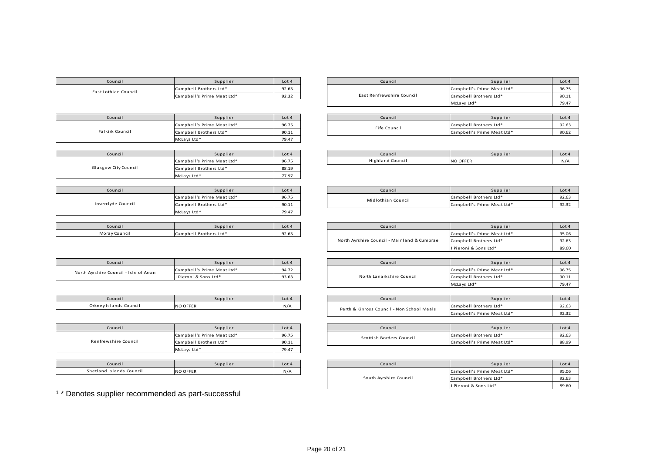| Council                                | Supplier                   | Lot 4   | Council                                     | Supplier                   | Lot 4          |
|----------------------------------------|----------------------------|---------|---------------------------------------------|----------------------------|----------------|
| East Lothian Council                   | Campbell Brothers Ltd*     | 92.63   |                                             | Campbell's Prime Meat Ltd* | 96.75          |
|                                        | Campbell's Prime Meat Ltd* | 92.32   | East Renfrewshire Council                   | Campbell Brothers Ltd*     | 90.11          |
|                                        |                            |         |                                             | McLays Ltd*                | 79.47          |
|                                        |                            |         |                                             |                            |                |
| Council                                | Supplier                   | Lot 4   | Council                                     | Supplier                   | Lot 4          |
|                                        | Campbell's Prime Meat Ltd* | 96.75   |                                             | Campbell Brothers Ltd*     | 92.63          |
| Falkirk Council                        | Campbell Brothers Ltd*     | 90.11   | Fife Council                                | Campbell's Prime Meat Ltd* | 90.62          |
|                                        | McLays Ltd*                | 79.47   |                                             |                            |                |
|                                        |                            |         |                                             |                            |                |
| Council                                | Supplier                   | Lot 4   | Council                                     | Supplier                   | Lot 4          |
|                                        | Campbell's Prime Meat Ltd* | 96.75   | <b>Highland Council</b>                     | <b>NO OFFER</b>            | N/A            |
| Glasgow City Council                   | Campbell Brothers Ltd*     | 88.19   |                                             |                            |                |
|                                        | McLays Ltd*                | 77.97   |                                             |                            |                |
|                                        |                            |         |                                             |                            |                |
| Council                                | Supplier                   | Lot 4   | Council                                     | Supplier                   | Lot 4          |
|                                        | Campbell's Prime Meat Ltd* | 96.75   | Midlothian Council                          | Campbell Brothers Ltd*     | 92.63          |
| Inverclyde Council                     | Campbell Brothers Ltd*     | 90.11   |                                             | Campbell's Prime Meat Ltd* | 92.32          |
|                                        | McLays Ltd*                | 79.47   |                                             |                            |                |
|                                        |                            |         |                                             |                            |                |
| Council                                | Supplier                   | Lot 4   | Council                                     | Supplier                   | Lot 4          |
| Moray Council                          | Campbell Brothers Ltd*     | 92.63   |                                             | Campbell's Prime Meat Ltd* | 95.06          |
|                                        |                            |         | North Ayrshire Council - Mainland & Cumbrae | Campbell Brothers Ltd*     | 92.63          |
|                                        |                            |         |                                             | J Pieroni & Sons Ltd*      | 89.60          |
|                                        |                            |         |                                             |                            |                |
| Council                                | Supplier                   | Lot 4   | Council                                     | Supplier                   | Lot 4          |
| North Ayrshire Council - Isle of Arran | Campbell's Prime Meat Ltd* | 94.72   |                                             | Campbell's Prime Meat Ltd* | 96.75          |
|                                        | J Pieroni & Sons Ltd*      | 93.63   | North Lanarkshire Council                   | Campbell Brothers Ltd*     | 90.11          |
|                                        |                            |         |                                             | McLays Ltd*                | 79.47          |
|                                        |                            |         |                                             |                            |                |
| Council                                | Supplier                   | Lot 4   | Council                                     | Supplier                   | Lot 4          |
| Orkney Islands Council                 | <b>NO OFFER</b>            | N/A     |                                             | Campbell Brothers Ltd*     | 92.63          |
|                                        |                            |         | Perth & Kinross Council - Non School Meals  | Campbell's Prime Meat Ltd* | 92.32          |
|                                        |                            |         |                                             |                            |                |
| Council                                | Supplier                   | Lot 4   | Council                                     | Supplier                   | Lot 4          |
|                                        | Campbell's Prime Meat Ltd* | 96.75   |                                             | Campbell Brothers Ltd*     | 92.63          |
| Renfrewshire Council                   | Campbell Brothers Ltd*     | 90.11   | Scottish Borders Council                    | Campbell's Prime Meat Ltd* | 88.99          |
|                                        | McLays Ltd*                | 79.47   |                                             |                            |                |
|                                        |                            |         |                                             |                            |                |
| $C = 1.6$                              | $C_{\rm 2.2~meV}$ is a set | $1 - 1$ | $C = 1.5$ and $C = 1.5$                     | $C = 12.4$                 | $\overline{1}$ |

| Supplier                   | Lot $4$ | Council                   |                            | Supplier<br>Lot 4 |
|----------------------------|---------|---------------------------|----------------------------|-------------------|
| Campbell Brothers Ltd*     | 92.63   |                           | Campbell's Prime Meat Ltd* | 96.75             |
| Campbell's Prime Meat Ltd* | 92.32   | East Renfrewshire Council | Campbell Brothers Ltd*     | 90.11             |
|                            |         |                           | McLays Ltd*                | 79.47             |

| Supplier                   | Lot 4 | Council      | Supplier                   | Lot 4 |
|----------------------------|-------|--------------|----------------------------|-------|
| Campbell's Prime Meat Ltd* | 96.75 | Fife Council | Campbell Brothers Ltd*     | 92.63 |
| Campbell Brothers Ltd*     | 90.11 |              | Campbell's Prime Meat Ltd* | 90.62 |

| supplier                   | Lot 4 | Council                 | Supplier | Lot 4 |
|----------------------------|-------|-------------------------|----------|-------|
| Campbell's Prime Meat Ltd* | 96.75 | <b>Highland Council</b> | NO OFFER | N/4   |
|                            |       |                         |          |       |

| Supplier                   | Lot 4 | Council            | Supplier                   | Lot 4 |
|----------------------------|-------|--------------------|----------------------------|-------|
| Campbell's Prime Meat Ltd* | 96.75 | Midlothian Council | Campbell Brothers Ltd*     | 92.63 |
| Campbell Brothers Ltd*     | 90.11 |                    | Campbell's Prime Meat Ltd* | 92.32 |

| Council                                     | Supplier                   | Lot 4 |
|---------------------------------------------|----------------------------|-------|
|                                             | Campbell's Prime Meat Ltd* | 95.06 |
| North Ayrshire Council - Mainland & Cumbrae | Campbell Brothers Ltd*     | 92.63 |
|                                             | J Pieroni & Sons Ltd*      | 89.60 |

| Supplier                   | Lot 4 | Council                   | Supplier                   | Lot 4 |
|----------------------------|-------|---------------------------|----------------------------|-------|
| Campbell's Prime Meat Ltd* | 94.72 |                           | Campbell's Prime Meat Ltd* | 96.75 |
| J Pieroni & Sons Ltd*      | 93.63 | North Lanarkshire Council | Campbell Brothers Ltd*     | 90.11 |
|                            |       |                           | McLays Ltd*                | 79.47 |

| Council                                    | Supplier                   | Lot 4 |
|--------------------------------------------|----------------------------|-------|
| Perth & Kinross Council - Non School Meals | Campbell Brothers Ltd*     | 92.63 |
|                                            | Campbell's Prime Meat Ltd* | 92.32 |

| Supplier                   | Lot 4 | Council                  | Supplier                   | Lot 4 |
|----------------------------|-------|--------------------------|----------------------------|-------|
| Campbell's Prime Meat Ltd* | 96.75 | Scottish Borders Council | Campbell Brothers Ltd*     | 92.63 |
| Campbell Brothers Ltd*     | 90.11 |                          | Campbell's Prime Meat Ltd* | 88.99 |

| Council         | Supplier        | Lot 4                  | Council                | Supplier                   | Lot $\angle$ |
|-----------------|-----------------|------------------------|------------------------|----------------------------|--------------|
| Islands Council | <b>NO OFFER</b> | N/A                    |                        | Campbell's Prime Meat Ltd* | 95.06        |
|                 |                 | South Ayrshire Council | Campbell Brothers Ltd* | 92.63                      |              |
|                 |                 |                        |                        | J Pieroni & Sons Ltd*      | 89.60        |

Shetland Islands Council NO OFFER N/A Campbell's Prime Meat Ltd\* 95.06